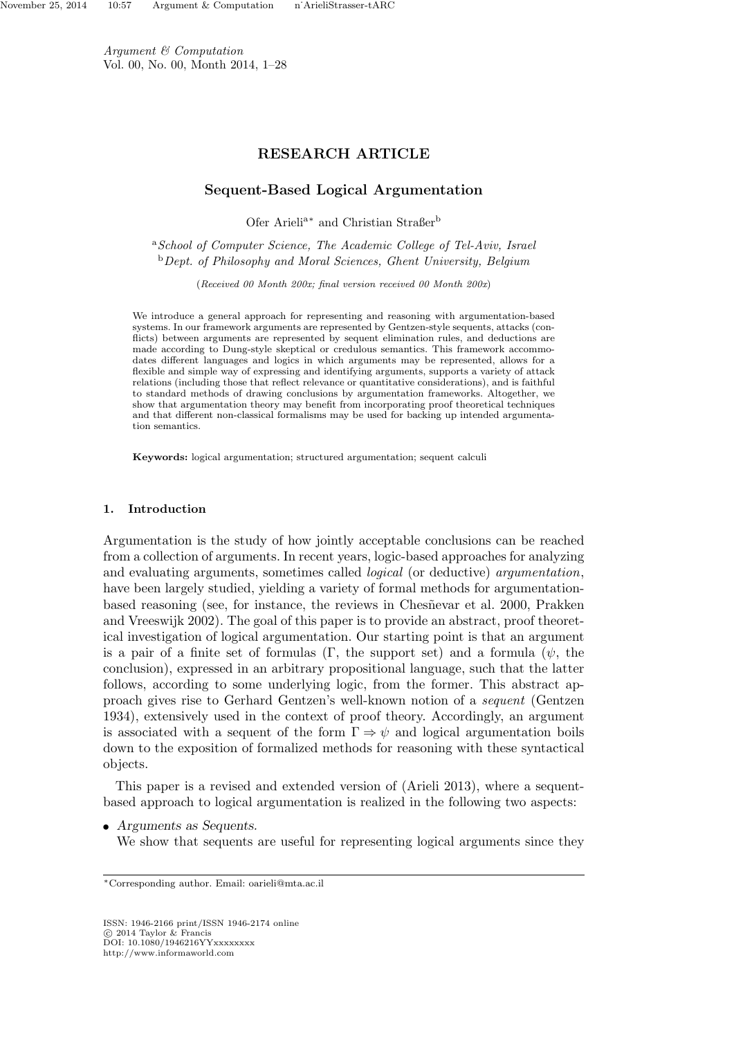Argument & Computation Vol. 00, No. 00, Month 2014, 1–28

## RESEARCH ARTICLE

## Sequent-Based Logical Argumentation

Ofer Arielia<sup>∗</sup> and Christian Straßer<sup>b</sup>

<sup>a</sup>School of Computer Science, The Academic College of Tel-Aviv, Israel  $b$  Dept. of Philosophy and Moral Sciences, Ghent University, Belgium

(Received 00 Month 200x; final version received 00 Month 200x)

We introduce a general approach for representing and reasoning with argumentation-based systems. In our framework arguments are represented by Gentzen-style sequents, attacks (conflicts) between arguments are represented by sequent elimination rules, and deductions are made according to Dung-style skeptical or credulous semantics. This framework accommodates different languages and logics in which arguments may be represented, allows for a flexible and simple way of expressing and identifying arguments, supports a variety of attack relations (including those that reflect relevance or quantitative considerations), and is faithful to standard methods of drawing conclusions by argumentation frameworks. Altogether, we show that argumentation theory may benefit from incorporating proof theoretical techniques and that different non-classical formalisms may be used for backing up intended argumentation semantics.

Keywords: logical argumentation; structured argumentation; sequent calculi

## 1. Introduction

Argumentation is the study of how jointly acceptable conclusions can be reached from a collection of arguments. In recent years, logic-based approaches for analyzing and evaluating arguments, sometimes called logical (or deductive) argumentation, have been largely studied, yielding a variety of formal methods for argumentationbased reasoning (see, for instance, the reviews in Chesnevar et al. 2000, Prakken and Vreeswijk 2002). The goal of this paper is to provide an abstract, proof theoretical investigation of logical argumentation. Our starting point is that an argument is a pair of a finite set of formulas (Γ, the support set) and a formula ( $\psi$ , the conclusion), expressed in an arbitrary propositional language, such that the latter follows, according to some underlying logic, from the former. This abstract approach gives rise to Gerhard Gentzen's well-known notion of a sequent (Gentzen 1934), extensively used in the context of proof theory. Accordingly, an argument is associated with a sequent of the form  $\Gamma \Rightarrow \psi$  and logical argumentation boils down to the exposition of formalized methods for reasoning with these syntactical objects.

This paper is a revised and extended version of (Arieli 2013), where a sequentbased approach to logical argumentation is realized in the following two aspects:

• Arguments as Sequents. We show that sequents are useful for representing logical arguments since they

ISSN: 1946-2166 print/ISSN 1946-2174 online © 2014 Taylor & Francis<br>DOI: 10.1080/1946216YYxxxxxxxx

<sup>∗</sup>Corresponding author. Email: oarieli@mta.ac.il

http://www.informaworld.com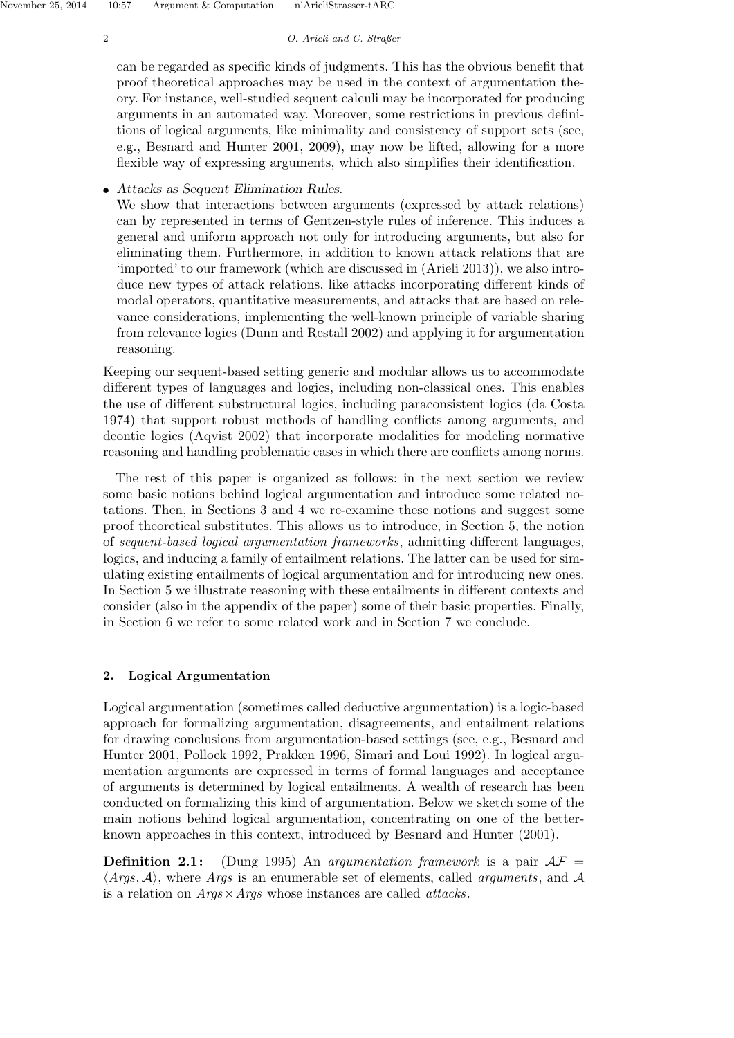## 2 O. Arieli and C. Straßer

can be regarded as specific kinds of judgments. This has the obvious benefit that proof theoretical approaches may be used in the context of argumentation theory. For instance, well-studied sequent calculi may be incorporated for producing arguments in an automated way. Moreover, some restrictions in previous definitions of logical arguments, like minimality and consistency of support sets (see, e.g., Besnard and Hunter 2001, 2009), may now be lifted, allowing for a more flexible way of expressing arguments, which also simplifies their identification.

# • Attacks as Sequent Elimination Rules.

We show that interactions between arguments (expressed by attack relations) can by represented in terms of Gentzen-style rules of inference. This induces a general and uniform approach not only for introducing arguments, but also for eliminating them. Furthermore, in addition to known attack relations that are 'imported' to our framework (which are discussed in (Arieli 2013)), we also introduce new types of attack relations, like attacks incorporating different kinds of modal operators, quantitative measurements, and attacks that are based on relevance considerations, implementing the well-known principle of variable sharing from relevance logics (Dunn and Restall 2002) and applying it for argumentation reasoning.

Keeping our sequent-based setting generic and modular allows us to accommodate different types of languages and logics, including non-classical ones. This enables the use of different substructural logics, including paraconsistent logics (da Costa 1974) that support robust methods of handling conflicts among arguments, and deontic logics (Aqvist 2002) that incorporate modalities for modeling normative reasoning and handling problematic cases in which there are conflicts among norms.

The rest of this paper is organized as follows: in the next section we review some basic notions behind logical argumentation and introduce some related notations. Then, in Sections 3 and 4 we re-examine these notions and suggest some proof theoretical substitutes. This allows us to introduce, in Section 5, the notion of sequent-based logical argumentation frameworks, admitting different languages, logics, and inducing a family of entailment relations. The latter can be used for simulating existing entailments of logical argumentation and for introducing new ones. In Section 5 we illustrate reasoning with these entailments in different contexts and consider (also in the appendix of the paper) some of their basic properties. Finally, in Section 6 we refer to some related work and in Section 7 we conclude.

# 2. Logical Argumentation

Logical argumentation (sometimes called deductive argumentation) is a logic-based approach for formalizing argumentation, disagreements, and entailment relations for drawing conclusions from argumentation-based settings (see, e.g., Besnard and Hunter 2001, Pollock 1992, Prakken 1996, Simari and Loui 1992). In logical argumentation arguments are expressed in terms of formal languages and acceptance of arguments is determined by logical entailments. A wealth of research has been conducted on formalizing this kind of argumentation. Below we sketch some of the main notions behind logical argumentation, concentrating on one of the betterknown approaches in this context, introduced by Besnard and Hunter (2001).

**Definition 2.1:** (Dung 1995) An argumentation framework is a pair  $AF =$  $\langle Arg, A \rangle$ , where Args is an enumerable set of elements, called *arguments*, and A is a relation on  $Args \times Args$  whose instances are called *attacks*.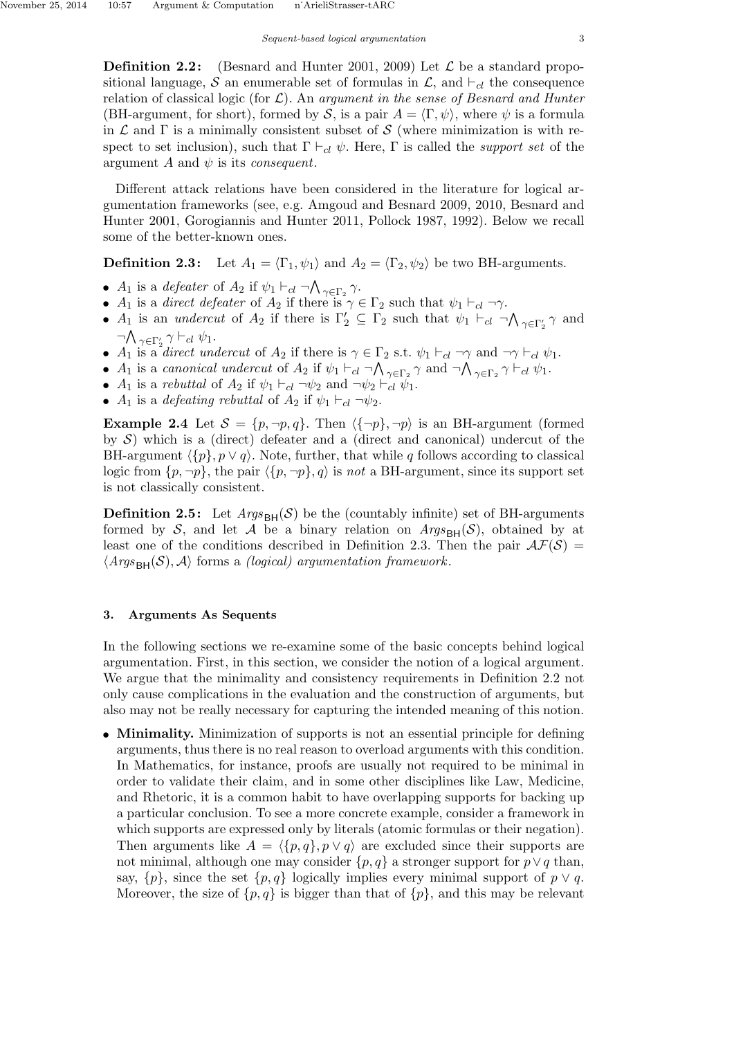**Definition 2.2:** (Besnard and Hunter 2001, 2009) Let  $\mathcal{L}$  be a standard propositional language, S an enumerable set of formulas in  $\mathcal{L}$ , and  $\vdash_{cl}$  the consequence relation of classical logic (for  $\mathcal{L}$ ). An argument in the sense of Besnard and Hunter (BH-argument, for short), formed by S, is a pair  $A = \langle \Gamma, \psi \rangle$ , where  $\psi$  is a formula in  $\mathcal L$  and  $\Gamma$  is a minimally consistent subset of S (where minimization is with respect to set inclusion), such that  $\Gamma \vdash_{cl} \psi$ . Here,  $\Gamma$  is called the *support set* of the argument A and  $\psi$  is its *consequent*.

Different attack relations have been considered in the literature for logical argumentation frameworks (see, e.g. Amgoud and Besnard 2009, 2010, Besnard and Hunter 2001, Gorogiannis and Hunter 2011, Pollock 1987, 1992). Below we recall some of the better-known ones.

**Definition 2.3:** Let  $A_1 = \langle \Gamma_1, \psi_1 \rangle$  and  $A_2 = \langle \Gamma_2, \psi_2 \rangle$  be two BH-arguments.

- $A_1$  is a defeater of  $A_2$  if  $\psi_1 \vdash_{cl} \neg \bigwedge_{\gamma \in \Gamma_2} \gamma$ .
- $A_1$  is a *direct defeater* of  $A_2$  if there is  $\gamma \in \Gamma_2$  such that  $\psi_1 \vdash_{cl} \neg \gamma$ .
- $A_1$  is an *undercut* of  $A_2$  if there is  $\Gamma'_2 \subseteq \Gamma_2$  such that  $\psi_1 \vdash_{cl} \neg \bigwedge_{\gamma \in \Gamma'_2} \gamma$  and  $\neg \bigwedge_{\gamma \in \Gamma_2'} \gamma \vdash_{cl} \psi_1.$
- $A_1$  is a direct undercut of  $A_2$  if there is  $\gamma \in \Gamma_2$  s.t.  $\psi_1 \vdash_{cl} \neg \gamma$  and  $\neg \gamma \vdash_{cl} \psi_1$ .
- $A_1$  is a canonical undercut of  $A_2$  if  $\psi_1 \vdash_{cl} \neg \bigwedge_{\gamma \in \Gamma_2} \gamma$  and  $\neg \bigwedge_{\gamma \in \Gamma_2} \gamma \vdash_{cl} \psi_1$ .
- $A_1$  is a rebuttal of  $A_2$  if  $\psi_1 \vdash_{cl} \neg \psi_2$  and  $\neg \psi_2 \vdash_{cl} \psi_1$ .
- $A_1$  is a *defeating rebuttal* of  $A_2$  if  $\psi_1 \vdash_{cl} \neg \psi_2$ .

**Example 2.4** Let  $S = \{p, \neg p, q\}$ . Then  $\langle {\neg p}, \neg p \rangle$  is an BH-argument (formed by  $S$ ) which is a (direct) defeater and a (direct and canonical) undercut of the BH-argument  $\langle \{p\}, p \vee q \rangle$ . Note, further, that while q follows according to classical logic from  $\{p, \neg p\}$ , the pair  $\langle \{p, \neg p\}, q \rangle$  is not a BH-argument, since its support set is not classically consistent.

**Definition 2.5:** Let  $Args_{\text{BH}}(\mathcal{S})$  be the (countably infinite) set of BH-arguments formed by S, and let A be a binary relation on  $Arg_{BH}(S)$ , obtained by at least one of the conditions described in Definition 2.3. Then the pair  $\mathcal{AF}(S)$  =  $\langle Args_{\text{BH}}(\mathcal{S}), \mathcal{A} \rangle$  forms a *(logical)* argumentation framework.

## 3. Arguments As Sequents

In the following sections we re-examine some of the basic concepts behind logical argumentation. First, in this section, we consider the notion of a logical argument. We argue that the minimality and consistency requirements in Definition 2.2 not only cause complications in the evaluation and the construction of arguments, but also may not be really necessary for capturing the intended meaning of this notion.

• Minimality. Minimization of supports is not an essential principle for defining arguments, thus there is no real reason to overload arguments with this condition. In Mathematics, for instance, proofs are usually not required to be minimal in order to validate their claim, and in some other disciplines like Law, Medicine, and Rhetoric, it is a common habit to have overlapping supports for backing up a particular conclusion. To see a more concrete example, consider a framework in which supports are expressed only by literals (atomic formulas or their negation). Then arguments like  $A = \langle \{p, q\}, p \vee q \rangle$  are excluded since their supports are not minimal, although one may consider  $\{p, q\}$  a stronger support for  $p \vee q$  than, say,  $\{p\}$ , since the set  $\{p,q\}$  logically implies every minimal support of  $p \vee q$ . Moreover, the size of  $\{p, q\}$  is bigger than that of  $\{p\}$ , and this may be relevant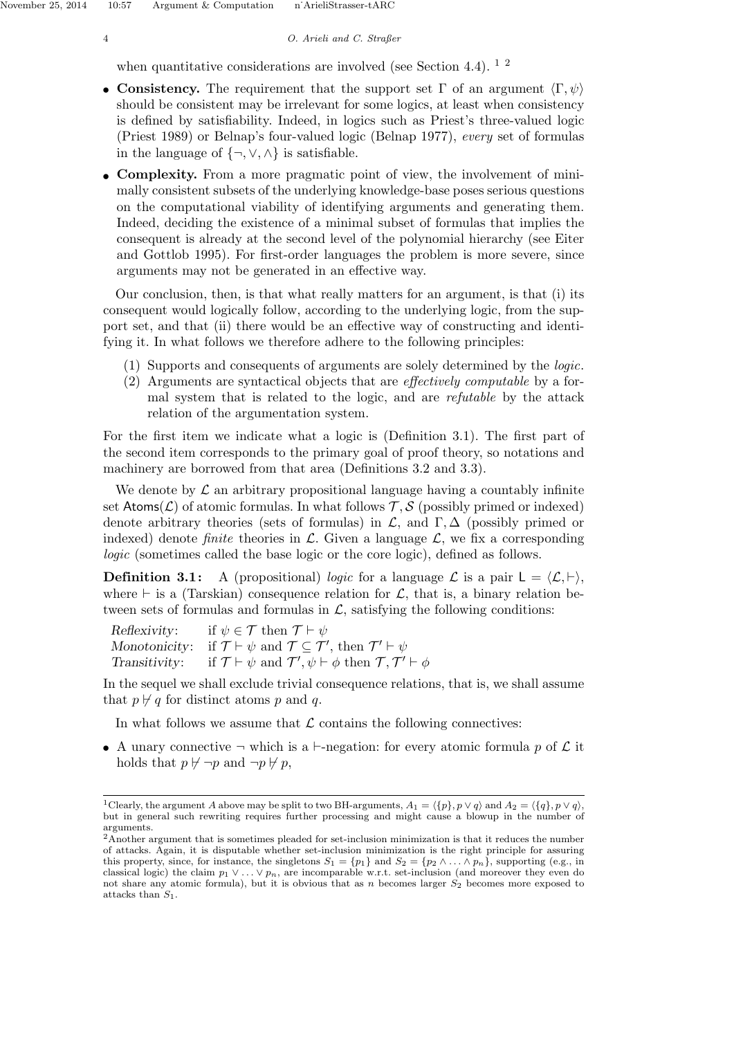4 O. Arieli and C. Straßer

when quantitative considerations are involved (see Section 4.4).  $1\frac{1}{2}$ 

- Consistency. The requirement that the support set  $\Gamma$  of an argument  $\langle \Gamma, \psi \rangle$ should be consistent may be irrelevant for some logics, at least when consistency is defined by satisfiability. Indeed, in logics such as Priest's three-valued logic (Priest 1989) or Belnap's four-valued logic (Belnap 1977), every set of formulas in the language of  $\{\neg, \vee, \wedge\}$  is satisfiable.
- Complexity. From a more pragmatic point of view, the involvement of minimally consistent subsets of the underlying knowledge-base poses serious questions on the computational viability of identifying arguments and generating them. Indeed, deciding the existence of a minimal subset of formulas that implies the consequent is already at the second level of the polynomial hierarchy (see Eiter and Gottlob 1995). For first-order languages the problem is more severe, since arguments may not be generated in an effective way.

Our conclusion, then, is that what really matters for an argument, is that (i) its consequent would logically follow, according to the underlying logic, from the support set, and that (ii) there would be an effective way of constructing and identifying it. In what follows we therefore adhere to the following principles:

- (1) Supports and consequents of arguments are solely determined by the logic.
- (2) Arguments are syntactical objects that are effectively computable by a formal system that is related to the logic, and are refutable by the attack relation of the argumentation system.

For the first item we indicate what a logic is (Definition 3.1). The first part of the second item corresponds to the primary goal of proof theory, so notations and machinery are borrowed from that area (Definitions 3.2 and 3.3).

We denote by  $\mathcal L$  an arbitrary propositional language having a countably infinite set Atoms( $\mathcal{L}$ ) of atomic formulas. In what follows  $\mathcal{T}, \mathcal{S}$  (possibly primed or indexed) denote arbitrary theories (sets of formulas) in  $\mathcal{L}$ , and  $\Gamma$ ,  $\Delta$  (possibly primed or indexed) denote *finite* theories in  $\mathcal{L}$ . Given a language  $\mathcal{L}$ , we fix a corresponding logic (sometimes called the base logic or the core logic), defined as follows.

**Definition 3.1:** A (propositional) logic for a language  $\mathcal{L}$  is a pair  $L = \langle \mathcal{L}, \vdash \rangle$ , where  $\vdash$  is a (Tarskian) consequence relation for  $\mathcal{L}$ , that is, a binary relation between sets of formulas and formulas in  $\mathcal{L}$ , satisfying the following conditions:

| Reflexivity: if $\psi \in \mathcal{T}$ then $\mathcal{T} \vdash \psi$                                                        |
|------------------------------------------------------------------------------------------------------------------------------|
| Monotonicity: if $\mathcal{T} \vdash \psi$ and $\mathcal{T} \subseteq \mathcal{T}'$ , then $\mathcal{T}' \vdash \psi$        |
| Transitivity: if $\mathcal{T} \vdash \psi$ and $\mathcal{T}', \psi \vdash \phi$ then $\mathcal{T}, \mathcal{T}' \vdash \phi$ |

In the sequel we shall exclude trivial consequence relations, that is, we shall assume that  $p \nvdash q$  for distinct atoms p and q.

In what follows we assume that  $\mathcal L$  contains the following connectives:

• A unary connective  $\neg$  which is a  $\neg$ -negation: for every atomic formula p of  $\mathcal L$  it holds that  $p \nvdash \neg p$  and  $\neg p \nvdash p$ ,

<sup>&</sup>lt;sup>1</sup>Clearly, the argument A above may be split to two BH-arguments,  $A_1 = \{\{p\}, p \lor q\}$  and  $A_2 = \{\{q\}, p \lor q\}$ , but in general such rewriting requires further processing and might cause a blowup in the number of arguments.

<sup>2</sup>Another argument that is sometimes pleaded for set-inclusion minimization is that it reduces the number of attacks. Again, it is disputable whether set-inclusion minimization is the right principle for assuring this property, since, for instance, the singletons  $S_1 = \{p_1\}$  and  $S_2 = \{p_2 \wedge \ldots \wedge p_n\}$ , supporting (e.g., in classical logic) the claim  $p_1 \vee \ldots \vee p_n$ , are incomparable w.r.t. set-inclusion (and moreover they even do not share any atomic formula), but it is obvious that as n becomes larger  $S_2$  becomes more exposed to attacks than  $S_1$ .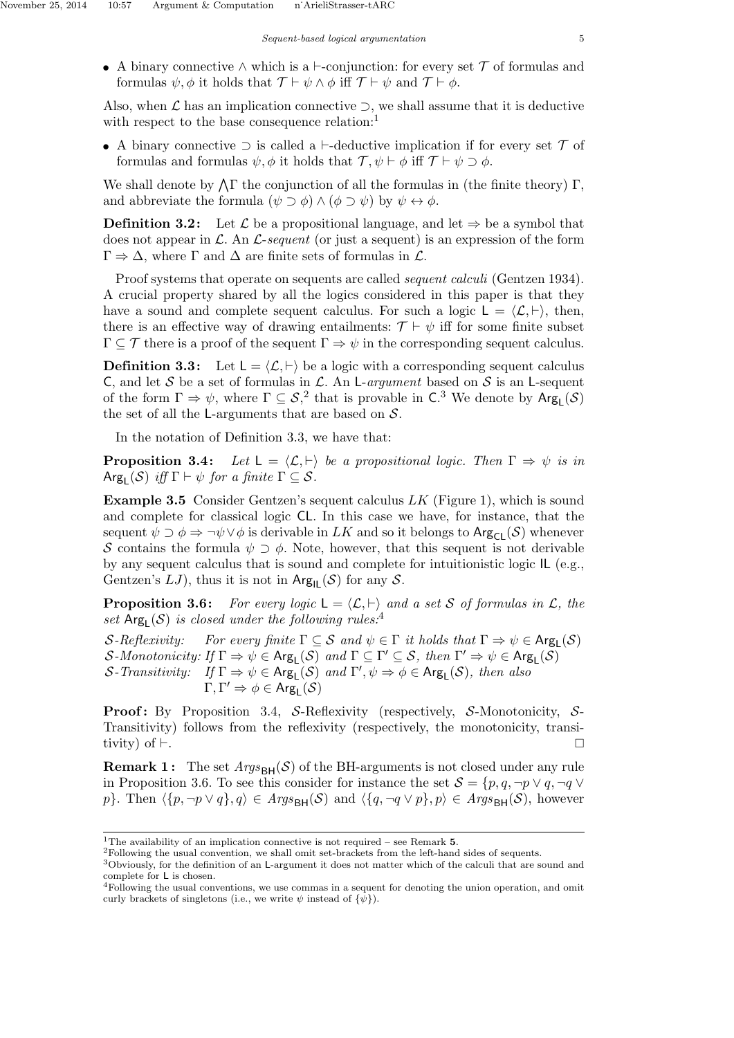• A binary connective  $\land$  which is a  $\vdash$ -conjunction: for every set  $\mathcal T$  of formulas and formulas  $\psi$ ,  $\phi$  it holds that  $\mathcal{T} \vdash \psi \land \phi$  iff  $\mathcal{T} \vdash \psi$  and  $\mathcal{T} \vdash \phi$ .

Also, when  $\mathcal L$  has an implication connective  $\supset$ , we shall assume that it is deductive with respect to the base consequence relation:<sup>1</sup>

• A binary connective  $\supset$  is called a  $\vdash$ -deductive implication if for every set  $\mathcal T$  of formulas and formulas  $\psi$ ,  $\phi$  it holds that  $\mathcal{T}, \psi \vdash \phi$  iff  $\mathcal{T} \vdash \psi \supset \phi$ .

We shall denote by  $\Lambda \Gamma$  the conjunction of all the formulas in (the finite theory)  $\Gamma$ , and abbreviate the formula  $(\psi \supset \phi) \wedge (\phi \supset \psi)$  by  $\psi \leftrightarrow \phi$ .

**Definition 3.2:** Let  $\mathcal{L}$  be a propositional language, and let  $\Rightarrow$  be a symbol that does not appear in  $\mathcal{L}$ . An  $\mathcal{L}$ -sequent (or just a sequent) is an expression of the form  $\Gamma \Rightarrow \Delta$ , where  $\Gamma$  and  $\Delta$  are finite sets of formulas in  $\mathcal{L}$ .

Proof systems that operate on sequents are called *sequent calculi* (Gentzen 1934). A crucial property shared by all the logics considered in this paper is that they have a sound and complete sequent calculus. For such a logic  $L = \langle \mathcal{L}, \vdash \rangle$ , then, there is an effective way of drawing entailments:  $\mathcal{T} \vdash \psi$  iff for some finite subset  $\Gamma \subseteq \mathcal{T}$  there is a proof of the sequent  $\Gamma \Rightarrow \psi$  in the corresponding sequent calculus.

**Definition 3.3:** Let  $L = \langle \mathcal{L}, \vdash \rangle$  be a logic with a corresponding sequent calculus C, and let S be a set of formulas in L. An L-argument based on S is an L-sequent of the form  $\Gamma \Rightarrow \psi$ , where  $\Gamma \subseteq S$ , that is provable in C.<sup>3</sup> We denote by  $Arg_L(S)$ the set of all the L-arguments that are based on  $S$ .

In the notation of Definition 3.3, we have that:

**Proposition 3.4:** Let  $L = \langle \mathcal{L}, \vdash \rangle$  be a propositional logic. Then  $\Gamma \Rightarrow \psi$  is in  $\text{Arg}_{\mathsf{L}}(\mathcal{S})$  iff  $\Gamma \vdash \psi$  for a finite  $\Gamma \subseteq \mathcal{S}$ .

**Example 3.5** Consider Gentzen's sequent calculus  $LK$  (Figure 1), which is sound and complete for classical logic CL. In this case we have, for instance, that the sequent  $\psi \supset \phi \Rightarrow \neg \psi \vee \phi$  is derivable in LK and so it belongs to Arg<sub>Cl</sub>(S) whenever S contains the formula  $\psi \supset \phi$ . Note, however, that this sequent is not derivable by any sequent calculus that is sound and complete for intuitionistic logic IL (e.g., Gentzen's  $LJ$ , thus it is not in  $Arg_{IL}(\mathcal{S})$  for any  $\mathcal{S}$ .

**Proposition 3.6:** For every logic  $L = \langle \mathcal{L}, \vdash \rangle$  and a set S of formulas in  $\mathcal{L}$ , the set  $Arg_L(S)$  is closed under the following rules:<sup>4</sup>

S-Reflexivity: For every finite  $\Gamma \subseteq S$  and  $\psi \in \Gamma$  it holds that  $\Gamma \Rightarrow \psi \in \text{Arg}_{\mathsf{L}}(\mathcal{S})$ S-Monotonicity: If  $\Gamma \Rightarrow \psi \in \text{Arg}_{\mathsf{L}}(\mathcal{S})$  and  $\Gamma \subseteq \Gamma' \subseteq \mathcal{S}$ , then  $\Gamma' \Rightarrow \psi \in \text{Arg}_{\mathsf{L}}(\mathcal{S})$ S-Transitivity: If  $\Gamma \Rightarrow \psi \in \text{Arg}_{\mathsf{L}}(\mathcal{S})$  and  $\Gamma', \psi \Rightarrow \phi \in \text{Arg}_{\mathsf{L}}(\mathcal{S})$ , then also  $\Gamma,\Gamma'\Rightarrow\phi\in\mathsf{Arg}_{\mathsf{L}}(\mathcal{S})$ 

**Proof:** By Proposition 3.4, S-Reflexivity (respectively, S-Monotonicity, S-Transitivity) follows from the reflexivity (respectively, the monotonicity, transitivity) of  $\vdash$ .

**Remark 1:** The set  $Args_{BH}(\mathcal{S})$  of the BH-arguments is not closed under any rule in Proposition 3.6. To see this consider for instance the set  $S = \{p, q, \neg p \lor q, \neg q \lor q\}$ p}. Then  $\langle \{p, \neg p \vee q\}, q \rangle \in \text{Args}_{\text{BH}}(\mathcal{S})$  and  $\langle \{q, \neg q \vee p\}, p \rangle \in \text{Args}_{\text{BH}}(\mathcal{S})$ , however

<sup>&</sup>lt;sup>1</sup>The availability of an implication connective is not required – see Remark  $5$ .

<sup>2</sup>Following the usual convention, we shall omit set-brackets from the left-hand sides of sequents.

<sup>3</sup>Obviously, for the definition of an L-argument it does not matter which of the calculi that are sound and complete for L is chosen.

<sup>4</sup>Following the usual conventions, we use commas in a sequent for denoting the union operation, and omit curly brackets of singletons (i.e., we write  $\psi$  instead of  $\{\psi\}$ ).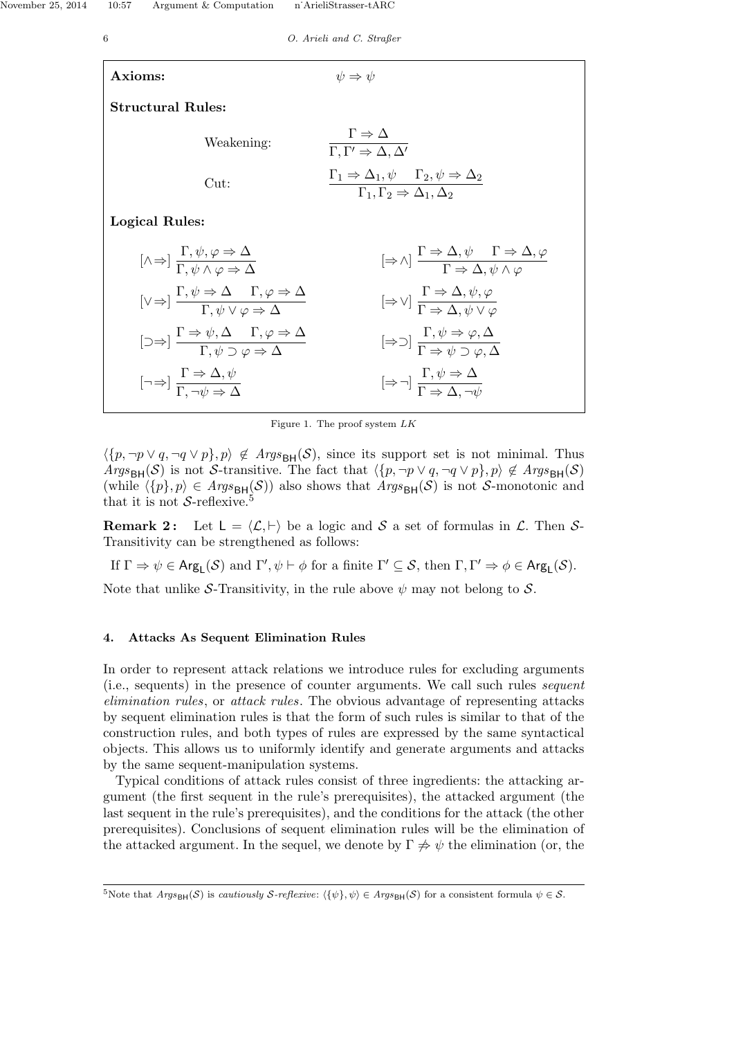6 O. Arieli and C. Straßer Axioms:  $\psi \Rightarrow \psi$ Structural Rules: Weakening:  $\Gamma \Rightarrow \Delta$ <br> $\Gamma, \Gamma' \Rightarrow \Delta, \Delta'$ Cut:  $\Gamma_1 \Rightarrow \Delta_1, \psi \quad \Gamma_2, \psi \Rightarrow \Delta_2$ 

Logical Rules:

| $[\wedge \Rightarrow] \frac{\Gamma, \psi, \varphi \Rightarrow \Delta}{\Gamma, \psi \land \varphi \Rightarrow \Delta}$                                    | $[\Rightarrow \wedge] \frac{\Gamma \Rightarrow \Delta, \psi \quad \Gamma \Rightarrow \Delta, \varphi}{\Gamma \Rightarrow \Delta, \psi \land \varphi}$ |
|----------------------------------------------------------------------------------------------------------------------------------------------------------|-------------------------------------------------------------------------------------------------------------------------------------------------------|
| $[\vee \Rightarrow] \frac{\Gamma, \psi \Rightarrow \Delta \quad \Gamma, \varphi \Rightarrow \Delta}{\Gamma, \psi \lor \varphi \Rightarrow \Delta}$       | $[\Rightarrow \vee] \frac{\Gamma \Rightarrow \Delta, \psi, \varphi}{\Gamma \Rightarrow \Delta, \psi \lor \varphi}$                                    |
| $[\supset \Rightarrow] \frac{\Gamma \Rightarrow \psi, \Delta \quad \Gamma, \varphi \Rightarrow \Delta}{\Gamma, \psi \supset \varphi \Rightarrow \Delta}$ | $[\Rightarrow \supset] \frac{\Gamma, \psi \Rightarrow \varphi, \Delta}{\Gamma \Rightarrow \psi \supset \varphi, \Delta}$                              |
| $[\neg \Rightarrow] \frac{\Gamma \Rightarrow \Delta, \psi}{\Gamma, \neg \psi \Rightarrow \Delta}$                                                        | $[\Rightarrow \neg] \frac{\Gamma, \psi \Rightarrow \Delta}{\Gamma \Rightarrow \Delta, \neg \psi}$                                                     |

 $\Gamma_1, \Gamma_2 \Rightarrow \Delta_1, \Delta_2$ 

Figure 1. The proof system  $LK$ 

 $\langle \{p, \neg p \lor q, \neg q \lor p\}, p \rangle \notin \text{Args}_{\text{BH}}(\mathcal{S})$ , since its support set is not minimal. Thus Args<sub>BH</sub>(S) is not S-transitive. The fact that  $\langle \{p, \neg p \vee q, \neg q \vee p\}, p \rangle \notin \text{A}rgs_{\text{BH}}(\mathcal{S})$ (while  $\langle \{p\}, p \rangle \in \text{Args}_{\text{BH}}(\mathcal{S})$ ) also shows that  $\text{Args}_{\text{BH}}(\mathcal{S})$  is not S-monotonic and that it is not  $S$ -reflexive.<sup>5</sup>

**Remark 2:** Let  $L = \langle \mathcal{L}, \vdash \rangle$  be a logic and S a set of formulas in  $\mathcal{L}$ . Then S-Transitivity can be strengthened as follows:

If  $\Gamma \Rightarrow \psi \in \mathsf{Arg}_\mathsf{L}(\mathcal{S})$  and  $\Gamma', \psi \vdash \phi$  for a finite  $\Gamma' \subseteq \mathcal{S}$ , then  $\Gamma, \Gamma' \Rightarrow \phi \in \mathsf{Arg}_\mathsf{L}(\mathcal{S})$ .

Note that unlike S-Transitivity, in the rule above  $\psi$  may not belong to S.

## 4. Attacks As Sequent Elimination Rules

In order to represent attack relations we introduce rules for excluding arguments (i.e., sequents) in the presence of counter arguments. We call such rules sequent elimination rules, or attack rules. The obvious advantage of representing attacks by sequent elimination rules is that the form of such rules is similar to that of the construction rules, and both types of rules are expressed by the same syntactical objects. This allows us to uniformly identify and generate arguments and attacks by the same sequent-manipulation systems.

Typical conditions of attack rules consist of three ingredients: the attacking argument (the first sequent in the rule's prerequisites), the attacked argument (the last sequent in the rule's prerequisites), and the conditions for the attack (the other prerequisites). Conclusions of sequent elimination rules will be the elimination of the attacked argument. In the sequel, we denote by  $\Gamma \neq \psi$  the elimination (or, the

<sup>&</sup>lt;sup>5</sup>Note that  $Args_{\text{BH}}(\mathcal{S})$  is *cautiously S-reflexive:*  $\langle {\psi} \rangle$ ,  $\psi \rangle \in Args_{\text{BH}}(\mathcal{S})$  for a consistent formula  $\psi \in \mathcal{S}$ .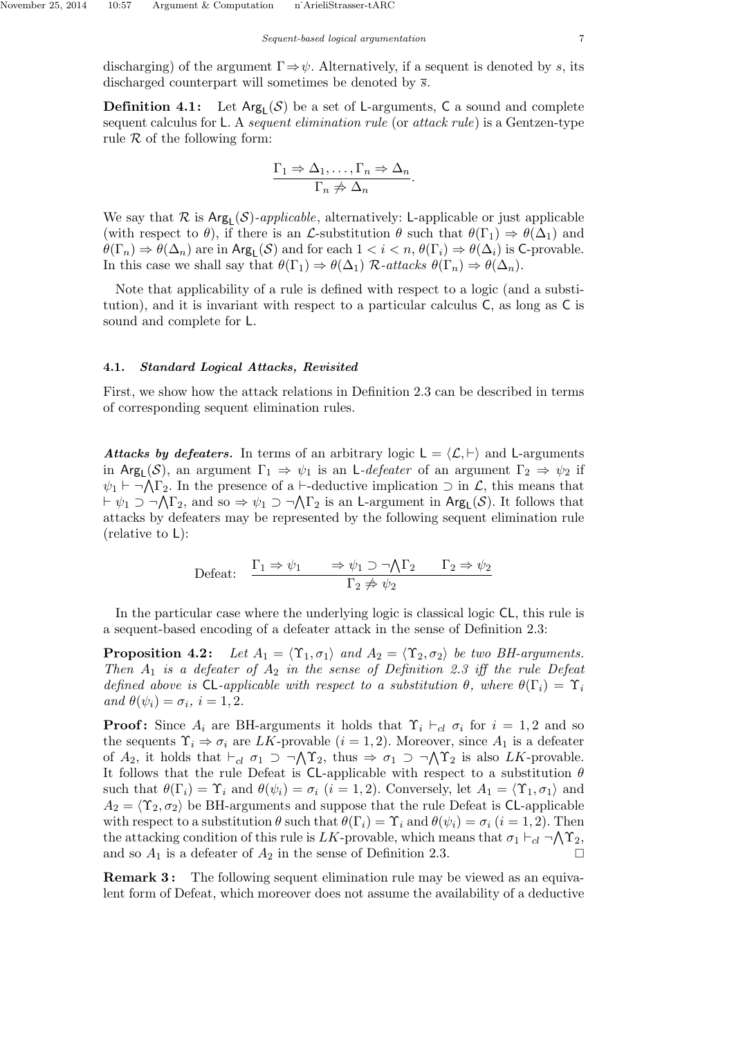discharging) of the argument  $\Gamma \Rightarrow \psi$ . Alternatively, if a sequent is denoted by s, its discharged counterpart will sometimes be denoted by  $\bar{s}$ .

**Definition 4.1:** Let  $Arg_L(S)$  be a set of L-arguments, C a sound and complete sequent calculus for L. A *sequent elimination rule* (or *attack rule*) is a Gentzen-type rule  $R$  of the following form:

$$
\frac{\Gamma_1 \Rightarrow \Delta_1, \dots, \Gamma_n \Rightarrow \Delta_n}{\Gamma_n \not\Rightarrow \Delta_n}.
$$

We say that  $\mathcal R$  is  $\text{Arg}_{\mathsf L}(\mathcal S)$ -applicable, alternatively: L-applicable or just applicable (with respect to  $\theta$ ), if there is an *L*-substitution  $\theta$  such that  $\theta(\Gamma_1) \Rightarrow \theta(\Delta_1)$  and  $\theta(\Gamma_n) \Rightarrow \theta(\Delta_n)$  are in  $\text{Arg}_L(\mathcal{S})$  and for each  $1 < i < n$ ,  $\theta(\Gamma_i) \Rightarrow \theta(\Delta_i)$  is C-provable. In this case we shall say that  $\theta(\Gamma_1) \Rightarrow \theta(\Delta_1)$  R-attacks  $\theta(\Gamma_n) \Rightarrow \theta(\Delta_n)$ .

Note that applicability of a rule is defined with respect to a logic (and a substitution), and it is invariant with respect to a particular calculus C, as long as C is sound and complete for L.

#### 4.1. Standard Logical Attacks, Revisited

First, we show how the attack relations in Definition 2.3 can be described in terms of corresponding sequent elimination rules.

Attacks by defeaters. In terms of an arbitrary logic  $L = \langle \mathcal{L}, \vdash \rangle$  and L-arguments in Arg<sub>L</sub>(S), an argument  $\Gamma_1 \Rightarrow \psi_1$  is an L-defeater of an argument  $\Gamma_2 \Rightarrow \psi_2$  if  $\psi_1 \vdash \neg \bigwedge \Gamma_2$ . In the presence of a  $\vdash$ -deductive implication  $\supset$  in  $\mathcal{L}$ , this means that  $\vdash \psi_1 \supset \neg \bigwedge \Gamma_2$ , and so  $\Rightarrow \psi_1 \supset \neg \bigwedge \Gamma_2$  is an L-argument in  $\text{Arg}_{\mathsf{L}}(\mathcal{S})$ . It follows that attacks by defeaters may be represented by the following sequent elimination rule (relative to L):

$$
\text{Defeat:} \quad \frac{\Gamma_1 \Rightarrow \psi_1 \quad \Rightarrow \psi_1 \supset \neg \bigwedge \Gamma_2 \quad \Gamma_2 \Rightarrow \psi_2}{\Gamma_2 \not\Rightarrow \psi_2}
$$

In the particular case where the underlying logic is classical logic CL, this rule is a sequent-based encoding of a defeater attack in the sense of Definition 2.3:

**Proposition 4.2:** Let  $A_1 = \langle \Upsilon_1, \sigma_1 \rangle$  and  $A_2 = \langle \Upsilon_2, \sigma_2 \rangle$  be two BH-arguments. Then  $A_1$  is a defeater of  $A_2$  in the sense of Definition 2.3 iff the rule Defeat defined above is CL-applicable with respect to a substitution  $\theta$ , where  $\theta(\Gamma_i) = \Upsilon_i$ and  $\theta(\psi_i) = \sigma_i$ ,  $i = 1, 2$ .

**Proof:** Since  $A_i$  are BH-arguments it holds that  $\Upsilon_i \vdash_{cl} \sigma_i$  for  $i = 1, 2$  and so the sequents  $\Upsilon_i \Rightarrow \sigma_i$  are LK-provable  $(i = 1, 2)$ . Moreover, since  $A_1$  is a defeater of  $A_2$ , it holds that  $\vdash_{cl} \sigma_1 \supset \neg \bigwedge \Upsilon_2$ , thus  $\Rightarrow \sigma_1 \supset \neg \bigwedge \Upsilon_2$  is also LK-provable. It follows that the rule Defeat is CL-applicable with respect to a substitution  $\theta$ such that  $\theta(\Gamma_i) = \Upsilon_i$  and  $\theta(\psi_i) = \sigma_i$   $(i = 1, 2)$ . Conversely, let  $A_1 = \langle \Upsilon_1, \sigma_1 \rangle$  and  $A_2 = \langle \Upsilon_2, \sigma_2 \rangle$  be BH-arguments and suppose that the rule Defeat is CL-applicable with respect to a substitution  $\theta$  such that  $\theta(\Gamma_i) = \Upsilon_i$  and  $\theta(\psi_i) = \sigma_i$   $(i = 1, 2)$ . Then the attacking condition of this rule is LK-provable, which means that  $\sigma_1 \vdash_{cl} \neg \bigwedge \Upsilon_2$ , and so  $A_1$  is a defeater of  $A_2$  in the sense of Definition 2.3.

**Remark 3:** The following sequent elimination rule may be viewed as an equivalent form of Defeat, which moreover does not assume the availability of a deductive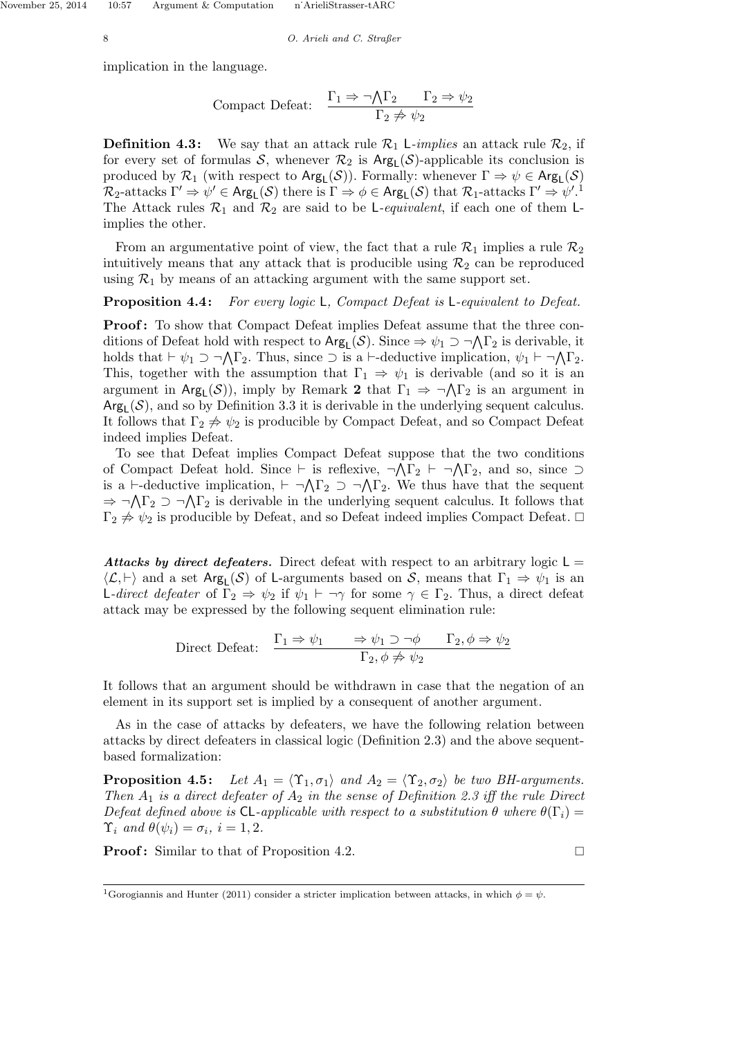November 25, 2014 10:57 Argument & Computation n<sup>•</sup>Ari

$$
n'ArieliStrasser-tARC\\
$$

8 O. Arieli and C. Straßer

implication in the language.

$$
Compact \ Defeat: \quad \frac{\Gamma_1 \Rightarrow \neg \bigwedge \Gamma_2 \qquad \Gamma_2 \Rightarrow \psi_2}{\Gamma_2 \not\Rightarrow \psi_2}
$$

**Definition 4.3:** We say that an attack rule  $\mathcal{R}_1$  L-implies an attack rule  $\mathcal{R}_2$ , if for every set of formulas  $S$ , whenever  $\mathcal{R}_2$  is  $Arg<sub>L</sub>(S)$ -applicable its conclusion is produced by  $\mathcal{R}_1$  (with respect to  $\text{Arg}_L(\mathcal{S})$ ). Formally: whenever  $\Gamma \Rightarrow \psi \in \text{Arg}_L(\mathcal{S})$  $\mathcal{R}_2$ -attacks  $\Gamma' \Rightarrow \psi' \in \mathsf{Arg}_\mathsf{L}(\mathcal{S})$  there is  $\Gamma \Rightarrow \phi \in \mathsf{Arg}_\mathsf{L}(\mathcal{S})$  that  $\mathcal{R}_1$ -attacks  $\Gamma' \Rightarrow \psi'$ .<sup>1</sup> The Attack rules  $\mathcal{R}_1$  and  $\mathcal{R}_2$  are said to be L-equivalent, if each one of them Limplies the other.

From an argumentative point of view, the fact that a rule  $\mathcal{R}_1$  implies a rule  $\mathcal{R}_2$ intuitively means that any attack that is producible using  $\mathcal{R}_2$  can be reproduced using  $\mathcal{R}_1$  by means of an attacking argument with the same support set.

**Proposition 4.4:** For every logic L, Compact Defeat is L-equivalent to Defeat.

**Proof:** To show that Compact Defeat implies Defeat assume that the three conditions of Defeat hold with respect to  $Arg_L(S)$ . Since  $\Rightarrow \psi_1 \supset \neg \bigwedge \Gamma_2$  is derivable, it holds that  $\vdash \psi_1 \supset \neg \bigwedge \Gamma_2$ . Thus, since  $\supset$  is a  $\vdash$ -deductive implication,  $\psi_1 \vdash \neg \bigwedge \Gamma_2$ . This, together with the assumption that  $\Gamma_1 \Rightarrow \psi_1$  is derivable (and so it is an argument in  $Arg_{L}(\mathcal{S})$ , imply by Remark 2 that  $\Gamma_1 \Rightarrow \neg \Lambda \Gamma_2$  is an argument in  $Arg_L(S)$ , and so by Definition 3.3 it is derivable in the underlying sequent calculus. It follows that  $\Gamma_2 \not\Rightarrow \psi_2$  is producible by Compact Defeat, and so Compact Defeat indeed implies Defeat.

To see that Defeat implies Compact Defeat suppose that the two conditions of Compact Defeat hold. Since  $\vdash$  is reflexive,  $\neg \Lambda \Gamma_2 \vdash \neg \Lambda \Gamma_2$ , and so, since  $\supset$ is a  $\vdash$ -deductive implication,  $\vdash \neg \bigwedge \Gamma_2 \supset \neg \bigwedge \Gamma_2$ . We thus have that the sequent  $\Rightarrow \neg \Lambda \Gamma_2 \supset \neg \Lambda \Gamma_2$  is derivable in the underlying sequent calculus. It follows that  $\Gamma_2 \not\Rightarrow \psi_2$  is producible by Defeat, and so Defeat indeed implies Compact Defeat.  $\Box$ 

Attacks by direct defeaters. Direct defeat with respect to an arbitrary logic  $L =$  $\langle \mathcal{L}, \vdash \rangle$  and a set Arg<sub>L</sub>(S) of L-arguments based on S, means that  $\Gamma_1 \Rightarrow \psi_1$  is an L-direct defeater of  $\Gamma_2 \Rightarrow \psi_2$  if  $\psi_1 \vdash \neg \gamma$  for some  $\gamma \in \Gamma_2$ . Thus, a direct defeat attack may be expressed by the following sequent elimination rule:

Direct Defeat: 
$$
\frac{\Gamma_1 \Rightarrow \psi_1 \Rightarrow \psi_1 \supset \neg \phi \quad \Gamma_2, \phi \Rightarrow \psi_2}{\Gamma_2, \phi \not\Rightarrow \psi_2}
$$

It follows that an argument should be withdrawn in case that the negation of an element in its support set is implied by a consequent of another argument.

As in the case of attacks by defeaters, we have the following relation between attacks by direct defeaters in classical logic (Definition 2.3) and the above sequentbased formalization:

**Proposition 4.5:** Let  $A_1 = \langle \Upsilon_1, \sigma_1 \rangle$  and  $A_2 = \langle \Upsilon_2, \sigma_2 \rangle$  be two BH-arguments. Then  $A_1$  is a direct defeater of  $A_2$  in the sense of Definition 2.3 iff the rule Direct Defeat defined above is CL-applicable with respect to a substitution  $\theta$  where  $\theta(\Gamma_i)$  =  $\Upsilon_i$  and  $\theta(\psi_i) = \sigma_i$ ,  $i = 1, 2$ .

**Proof:** Similar to that of Proposition 4.2.

<sup>&</sup>lt;sup>1</sup>Gorogiannis and Hunter (2011) consider a stricter implication between attacks, in which  $\phi = \psi$ .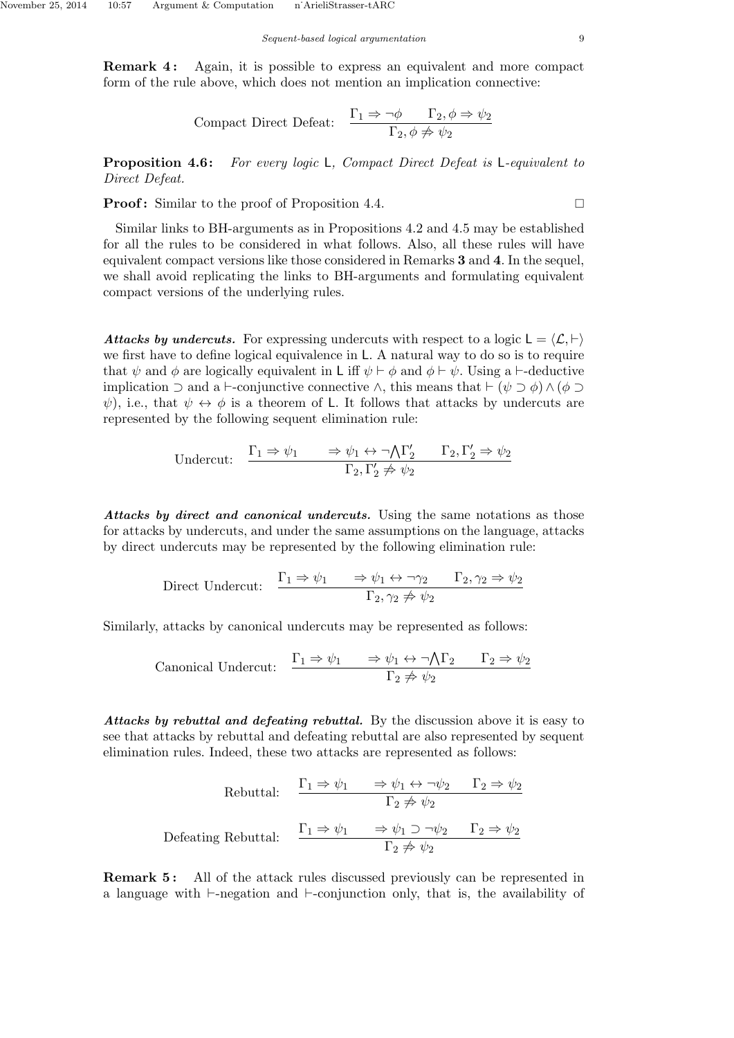**Remark 4:** Again, it is possible to express an equivalent and more compact form of the rule above, which does not mention an implication connective:

$$
Compact \ Direct \ Defeat: \quad \frac{\Gamma_1 \Rightarrow \neg \phi \qquad \Gamma_2, \phi \Rightarrow \psi_2}{\Gamma_2, \phi \not\Rightarrow \psi_2}
$$

**Proposition 4.6:** For every logic L, Compact Direct Defeat is L-equivalent to Direct Defeat.

**Proof:** Similar to the proof of Proposition 4.4.

Similar links to BH-arguments as in Propositions 4.2 and 4.5 may be established for all the rules to be considered in what follows. Also, all these rules will have equivalent compact versions like those considered in Remarks 3 and 4. In the sequel, we shall avoid replicating the links to BH-arguments and formulating equivalent compact versions of the underlying rules.

Attacks by undercuts. For expressing undercuts with respect to a logic  $L = \langle \mathcal{L}, \vdash \rangle$ we first have to define logical equivalence in L. A natural way to do so is to require that  $\psi$  and  $\phi$  are logically equivalent in L iff  $\psi \vdash \phi$  and  $\phi \vdash \psi$ . Using a  $\vdash$ -deductive implication  $\supset$  and a  $\vdash$ -conjunctive connective  $\wedge$ , this means that  $\vdash (\psi \supset \phi) \wedge (\phi \supset \phi)$  $\psi$ ), i.e., that  $\psi \leftrightarrow \phi$  is a theorem of L. It follows that attacks by undercuts are represented by the following sequent elimination rule:

$$
\begin{array}{ll}\n\text{Undercut:} & \frac{\Gamma_1 \Rightarrow \psi_1 \quad \Rightarrow \psi_1 \leftrightarrow \neg \bigwedge \Gamma_2' \quad \Gamma_2, \Gamma_2' \Rightarrow \psi_2}{\Gamma_2, \Gamma_2' \not\Rightarrow \psi_2}\n\end{array}
$$

Attacks by direct and canonical undercuts. Using the same notations as those for attacks by undercuts, and under the same assumptions on the language, attacks by direct undercuts may be represented by the following elimination rule:

Direct Undercut: 
$$
\frac{\Gamma_1 \Rightarrow \psi_1 \quad \Rightarrow \psi_1 \leftrightarrow \neg \gamma_2 \quad \Gamma_2, \gamma_2 \Rightarrow \psi_2}{\Gamma_2, \gamma_2 \not\Rightarrow \psi_2}
$$

Similarly, attacks by canonical undercuts may be represented as follows:

$$
\text{canonical Undercut:} \quad \frac{\Gamma_1 \Rightarrow \psi_1 \quad \Rightarrow \psi_1 \leftrightarrow \neg \bigwedge \Gamma_2 \quad \Gamma_2 \Rightarrow \psi_2}{\Gamma_2 \not\Rightarrow \psi_2}
$$

Attacks by rebuttal and defeating rebuttal. By the discussion above it is easy to see that attacks by rebuttal and defeating rebuttal are also represented by sequent elimination rules. Indeed, these two attacks are represented as follows:

Rebuttal:

\n
$$
\frac{\Gamma_1 \Rightarrow \psi_1 \quad \Rightarrow \psi_1 \leftrightarrow \neg \psi_2 \quad \Gamma_2 \Rightarrow \psi_2}{\Gamma_2 \not\Rightarrow \psi_2}
$$
\nDefeating Rebuttal:

\n
$$
\frac{\Gamma_1 \Rightarrow \psi_1 \quad \Rightarrow \psi_1 \supset \neg \psi_2 \quad \Gamma_2 \Rightarrow \psi_2}{\Gamma_2 \not\Rightarrow \psi_2}
$$

**Remark 5:** All of the attack rules discussed previously can be represented in a language with  $\vdash$ -negation and  $\vdash$ -conjunction only, that is, the availability of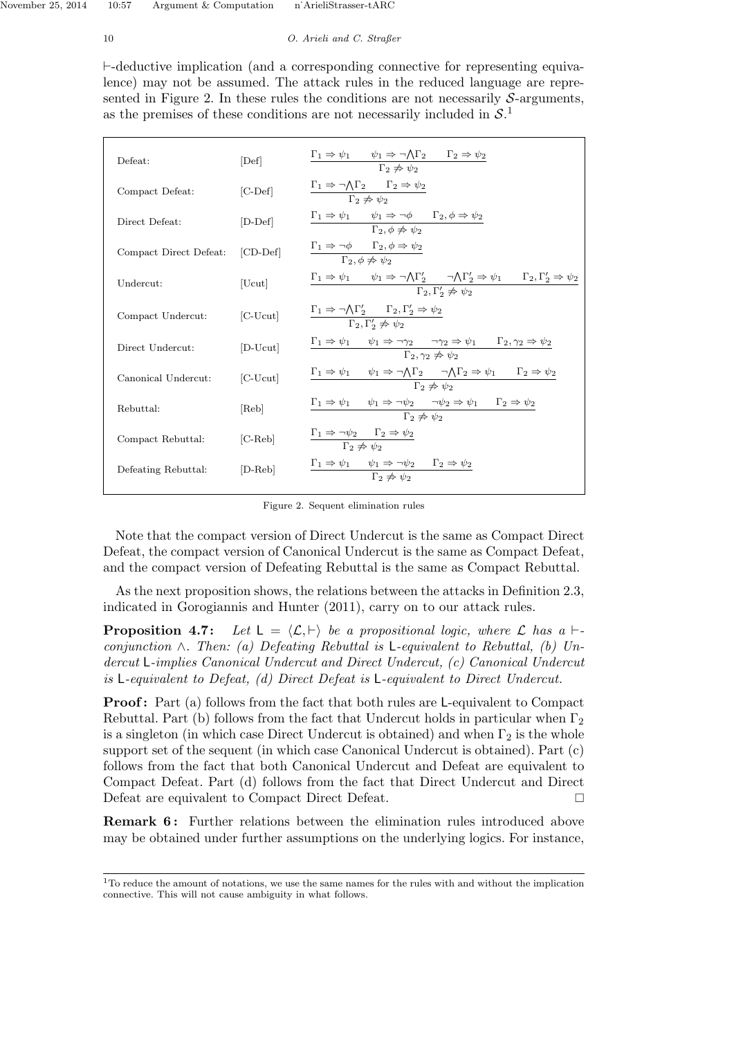## 10 O. Arieli and C. Straßer

 $\vdash$ -deductive implication (and a corresponding connective for representing equivalence) may not be assumed. The attack rules in the reduced language are represented in Figure 2. In these rules the conditions are not necessarily  $S$ -arguments, as the premises of these conditions are not necessarily included in  $S<sup>1</sup>$ 

| Defeat:                         | [Def]                  | $\Gamma_1 \Rightarrow \psi_1 \qquad \psi_1 \Rightarrow \neg \bigwedge \Gamma_2 \qquad \Gamma_2 \Rightarrow \psi_2$<br>$\Gamma_2 \not\Rightarrow \psi_2$                                                                           |
|---------------------------------|------------------------|-----------------------------------------------------------------------------------------------------------------------------------------------------------------------------------------------------------------------------------|
| Compact Defeat:                 | $[$ C-Def $]$          | $\Gamma_1 \Rightarrow \neg \bigwedge \Gamma_2 \quad \underline{\quad \Gamma_2 \Rightarrow \psi_2}$<br>$\Gamma_2 \not\Rightarrow \psi_2$                                                                                           |
| Direct Defeat:                  | $[D-Def]$              | $\Gamma_1 \Rightarrow \psi_1 \qquad \psi_1 \Rightarrow \neg \phi \qquad \Gamma_2, \phi \Rightarrow \psi_2$<br>$\Gamma_2$ , $\phi \not\Rightarrow \psi_2$                                                                          |
| Compact Direct Defeat: [CD-Def] |                        | $\frac{\Gamma_1 \Rightarrow \neg \phi \qquad \Gamma_2, \phi \Rightarrow \psi_2}{\Gamma_2, \phi \not\Rightarrow \psi_2}$                                                                                                           |
| Undercut:                       | [Ucut]                 | $\Gamma_1 \Rightarrow \psi_1 \qquad \psi_1 \Rightarrow \neg \bigwedge \Gamma'_2 \qquad \neg \bigwedge \Gamma'_2 \Rightarrow \psi_1 \qquad \Gamma_2, \Gamma'_2 \Rightarrow \psi_2$<br>$\Gamma_2, \Gamma'_2 \not\Rightarrow \psi_2$ |
| Compact Undercut:               | $[$ C-U $cut]$         | $\Gamma_1 \Rightarrow \neg \bigwedge \Gamma'_2 \qquad \Gamma_2, \Gamma'_2 \Rightarrow \psi_2$<br>$\overline{\Gamma_2,\Gamma'_2 \nRightarrow \psi_2}$                                                                              |
| Direct Undercut:                | [D-Ucut]               | $\Gamma_1 \Rightarrow \psi_1 \quad \psi_1 \Rightarrow \neg \gamma_2 \quad \neg \gamma_2 \Rightarrow \psi_1 \quad \Gamma_2, \gamma_2 \Rightarrow \psi_2$<br>$\Gamma_2, \gamma_2 \neq \psi_2$                                       |
| Canonical Undercut:             | $[C-Ucut]$             | $\Gamma_1 \Rightarrow \psi_1 \quad \psi_1 \Rightarrow \neg \bigwedge \Gamma_2 \quad \neg \bigwedge \Gamma_2 \Rightarrow \psi_1 \quad \Gamma_2 \Rightarrow \psi_2$<br>$\Gamma_2 \not\Rightarrow \psi_2$                            |
| Rebuttal:                       | [Reb]                  | $\Gamma_1 \Rightarrow \psi_1 \qquad \psi_1 \Rightarrow \neg \psi_2 \qquad \neg \psi_2 \Rightarrow \psi_1 \qquad \Gamma_2 \Rightarrow \psi_2$<br>$\Gamma_2 \not\Rightarrow \psi_2$                                                 |
| Compact Rebuttal:               | $[{\rm C\text{-}Reb}]$ | $\Gamma_1 \Rightarrow \neg \psi_2 \qquad \Gamma_2 \Rightarrow \psi_2$<br>$\overline{\Gamma_2 \not\Rightarrow \psi_2}$                                                                                                             |
| Defeating Rebuttal:             | $[D-Reb]$              | $\Gamma_1 \Rightarrow \psi_1 \qquad \psi_1 \Rightarrow \neg \psi_2 \qquad \Gamma_2 \Rightarrow \psi_2$<br>$\Gamma_2 \not\Rightarrow \psi_2$                                                                                       |
|                                 |                        |                                                                                                                                                                                                                                   |

Figure 2. Sequent elimination rules

Note that the compact version of Direct Undercut is the same as Compact Direct Defeat, the compact version of Canonical Undercut is the same as Compact Defeat, and the compact version of Defeating Rebuttal is the same as Compact Rebuttal.

As the next proposition shows, the relations between the attacks in Definition 2.3, indicated in Gorogiannis and Hunter (2011), carry on to our attack rules.

**Proposition 4.7:** Let  $L = \langle \mathcal{L}, \vdash \rangle$  be a propositional logic, where  $\mathcal{L}$  has a  $\vdash$ conjunction  $\wedge$ . Then: (a) Defeating Rebuttal is L-equivalent to Rebuttal, (b) Undercut L-implies Canonical Undercut and Direct Undercut, (c) Canonical Undercut is L-equivalent to Defeat, (d) Direct Defeat is L-equivalent to Direct Undercut.

**Proof:** Part (a) follows from the fact that both rules are L-equivalent to Compact Rebuttal. Part (b) follows from the fact that Undercut holds in particular when  $\Gamma_2$ is a singleton (in which case Direct Undercut is obtained) and when  $\Gamma_2$  is the whole support set of the sequent (in which case Canonical Undercut is obtained). Part (c) follows from the fact that both Canonical Undercut and Defeat are equivalent to Compact Defeat. Part (d) follows from the fact that Direct Undercut and Direct Defeat are equivalent to Compact Direct Defeat.

**Remark 6:** Further relations between the elimination rules introduced above may be obtained under further assumptions on the underlying logics. For instance,

<sup>1</sup>To reduce the amount of notations, we use the same names for the rules with and without the implication connective. This will not cause ambiguity in what follows.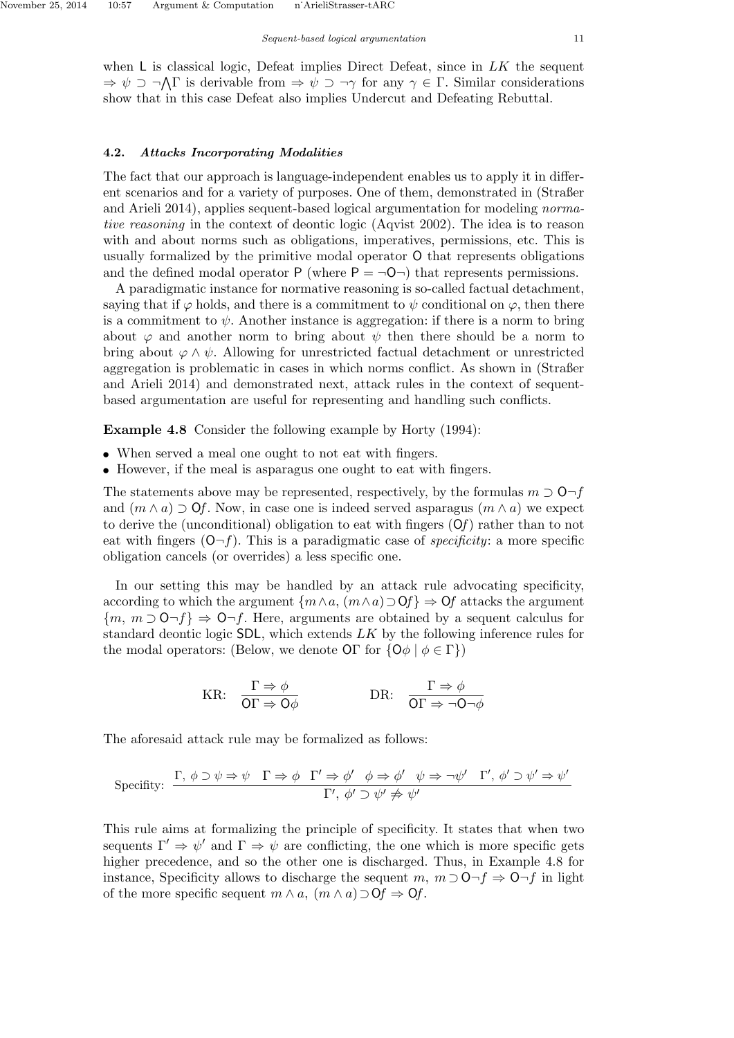when  $\mathsf L$  is classical logic, Defeat implies Direct Defeat, since in  $LK$  the sequent  $\Rightarrow \psi \supset \neg \Lambda \Gamma$  is derivable from  $\Rightarrow \psi \supset \neg \gamma$  for any  $\gamma \in \Gamma$ . Similar considerations show that in this case Defeat also implies Undercut and Defeating Rebuttal.

#### 4.2. Attacks Incorporating Modalities

The fact that our approach is language-independent enables us to apply it in different scenarios and for a variety of purposes. One of them, demonstrated in (Straßer and Arieli 2014), applies sequent-based logical argumentation for modeling normative reasoning in the context of deontic logic (Aqvist 2002). The idea is to reason with and about norms such as obligations, imperatives, permissions, etc. This is usually formalized by the primitive modal operator O that represents obligations and the defined modal operator P (where  $P = \neg O \neg$ ) that represents permissions.

A paradigmatic instance for normative reasoning is so-called factual detachment, saying that if  $\varphi$  holds, and there is a commitment to  $\psi$  conditional on  $\varphi$ , then there is a commitment to  $\psi$ . Another instance is aggregation: if there is a norm to bring about  $\varphi$  and another norm to bring about  $\psi$  then there should be a norm to bring about  $\varphi \wedge \psi$ . Allowing for unrestricted factual detachment or unrestricted aggregation is problematic in cases in which norms conflict. As shown in (Straßer and Arieli 2014) and demonstrated next, attack rules in the context of sequentbased argumentation are useful for representing and handling such conflicts.

Example 4.8 Consider the following example by Horty (1994):

- When served a meal one ought to not eat with fingers.
- However, if the meal is asparagus one ought to eat with fingers.

The statements above may be represented, respectively, by the formulas  $m \supset O-f$ and  $(m \wedge a) \supset Qf$ . Now, in case one is indeed served asparagus  $(m \wedge a)$  we expect to derive the (unconditional) obligation to eat with fingers  $(Of)$  rather than to not eat with fingers  $(0-f)$ . This is a paradigmatic case of *specificity*: a more specific obligation cancels (or overrides) a less specific one.

In our setting this may be handled by an attack rule advocating specificity, according to which the argument  $\{m \wedge a, (m \wedge a) \supset \mathbf{O}f\} \Rightarrow \mathbf{O}f$  attacks the argument  ${m, m \supset 0 \neg f} \Rightarrow 0 \neg f$ . Here, arguments are obtained by a sequent calculus for standard deontic logic SDL, which extends LK by the following inference rules for the modal operators: (Below, we denote  $\text{OT}$  for  $\{\text{O}\phi \mid \phi \in \Gamma\}$ )

KR: 
$$
\frac{\Gamma \Rightarrow \phi}{\text{OT} \Rightarrow \text{O}\phi}
$$
 DR:  $\frac{\Gamma \Rightarrow \phi}{\text{OT} \Rightarrow \neg \text{O}\neg \phi}$ 

The aforesaid attack rule may be formalized as follows:

$$
\text{Specificity:} \quad \frac{\Gamma, \ \phi \supset \psi \Rightarrow \psi \quad \Gamma \Rightarrow \phi \quad \Gamma' \Rightarrow \phi' \quad \phi \Rightarrow \phi' \quad \psi \Rightarrow \neg \psi' \quad \Gamma', \ \phi' \supset \psi' \Rightarrow \psi'}{\Gamma', \ \phi' \supset \psi' \not\Rightarrow \psi'}
$$

This rule aims at formalizing the principle of specificity. It states that when two sequents  $\Gamma' \Rightarrow \psi'$  and  $\Gamma \Rightarrow \psi$  are conflicting, the one which is more specific gets higher precedence, and so the other one is discharged. Thus, in Example 4.8 for instance, Specificity allows to discharge the sequent m,  $m \supset O \neg f \Rightarrow O \neg f$  in light of the more specific sequent  $m \wedge a$ ,  $(m \wedge a) \supset \mathsf{O}f \Rightarrow \mathsf{O}f$ .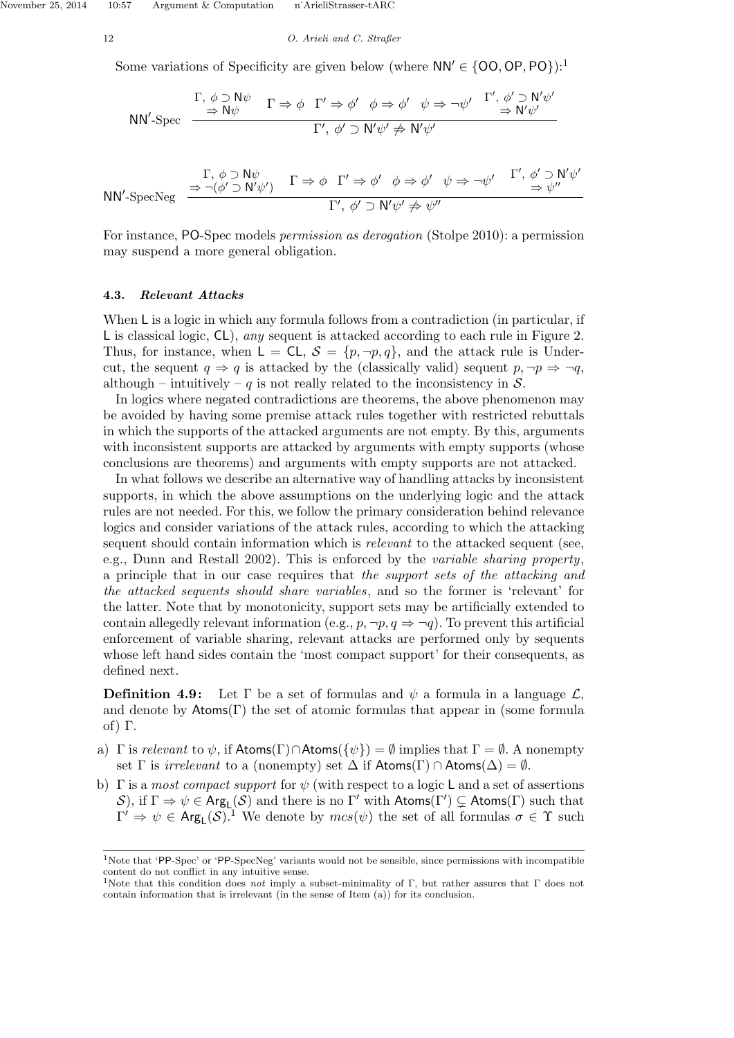November 25, 2014 10:57 Argument & Computation n˙ArieliStrasser-tARC

12 O. Arieli and C. Straßer

Some variations of Specificity are given below (where  $NN' \in \{OO, OP, PO\}$ ):<sup>1</sup>

$$
NN'.\text{Spec} \quad \frac{\Gamma, \, \phi \supset N\psi}{\Rightarrow N\psi} \quad \Gamma \Rightarrow \phi \quad \Gamma' \Rightarrow \phi' \quad \phi \Rightarrow \phi' \quad \psi \Rightarrow \neg \psi' \quad \frac{\Gamma', \, \phi' \supset N'\psi'}{\Rightarrow N'\psi'} \quad \frac{\Gamma', \, \phi' \supset N'\psi'}{\Rightarrow N'\psi'}
$$

$$
NN' \text{-} \text{SpecNeg} \quad \xrightarrow{\Gamma, \phi \supset N\psi} \quad \Gamma \Rightarrow \phi \quad \Gamma' \Rightarrow \phi' \quad \phi \Rightarrow \phi' \quad \psi \Rightarrow \neg \psi' \quad \xrightarrow{\Gamma', \phi' \supset N'\psi'} \quad \xrightarrow{\Gamma', \phi' \supset N'\psi' \Rightarrow \psi''} \quad \Gamma', \phi' \supset N'\psi' \Rightarrow \psi''
$$

For instance, PO-Spec models permission as derogation (Stolpe 2010): a permission may suspend a more general obligation.

## 4.3. Relevant Attacks

When L is a logic in which any formula follows from a contradiction (in particular, if L is classical logic, CL), any sequent is attacked according to each rule in Figure 2. Thus, for instance, when  $L = CL$ ,  $S = \{p, \neg p, q\}$ , and the attack rule is Undercut, the sequent  $q \Rightarrow q$  is attacked by the (classically valid) sequent  $p, \neg p \Rightarrow \neg q$ , although – intuitively – q is not really related to the inconsistency in  $S$ .

In logics where negated contradictions are theorems, the above phenomenon may be avoided by having some premise attack rules together with restricted rebuttals in which the supports of the attacked arguments are not empty. By this, arguments with inconsistent supports are attacked by arguments with empty supports (whose conclusions are theorems) and arguments with empty supports are not attacked.

In what follows we describe an alternative way of handling attacks by inconsistent supports, in which the above assumptions on the underlying logic and the attack rules are not needed. For this, we follow the primary consideration behind relevance logics and consider variations of the attack rules, according to which the attacking sequent should contain information which is *relevant* to the attacked sequent (see, e.g., Dunn and Restall 2002). This is enforced by the variable sharing property, a principle that in our case requires that the support sets of the attacking and the attacked sequents should share variables, and so the former is 'relevant' for the latter. Note that by monotonicity, support sets may be artificially extended to contain allegedly relevant information (e.g.,  $p, \neg p, q \Rightarrow \neg q$ ). To prevent this artificial enforcement of variable sharing, relevant attacks are performed only by sequents whose left hand sides contain the 'most compact support' for their consequents, as defined next.

**Definition 4.9:** Let  $\Gamma$  be a set of formulas and  $\psi$  a formula in a language  $\mathcal{L}$ , and denote by  $\mathsf{Atoms}(\Gamma)$  the set of atomic formulas that appear in (some formula of) Γ.

- a) Γ is relevant to  $\psi$ , if Atoms( $\Gamma$ ) $\cap$ Atoms( $\{\psi\}$ ) =  $\emptyset$  implies that  $\Gamma = \emptyset$ . A nonempty set  $\Gamma$  is *irrelevant* to a (nonempty) set  $\Delta$  if  $\mathsf{Atoms}(\Gamma) \cap \mathsf{Atoms}(\Delta) = \emptyset$ .
- b)  $\Gamma$  is a most compact support for  $\psi$  (with respect to a logic L and a set of assertions S), if  $\Gamma \Rightarrow \psi \in \text{Arg}_{\mathsf{L}}(\mathcal{S})$  and there is no  $\Gamma'$  with  $\mathsf{Atoms}(\Gamma') \subsetneq \mathsf{Atoms}(\Gamma)$  such that  $\Gamma' \Rightarrow \psi \in \text{Arg}_{\mathsf{L}}(\mathcal{S})$ .<sup>1</sup> We denote by  $mcs(\psi)$  the set of all formulas  $\sigma \in \Upsilon$  such

<sup>&</sup>lt;sup>1</sup>Note that 'PP-Spec' or 'PP-SpecNeg' variants would not be sensible, since permissions with incompatible content do not conflict in any intuitive sense.

<sup>&</sup>lt;sup>1</sup>Note that this condition does *not* imply a subset-minimality of Γ, but rather assures that Γ does not contain information that is irrelevant (in the sense of Item (a)) for its conclusion.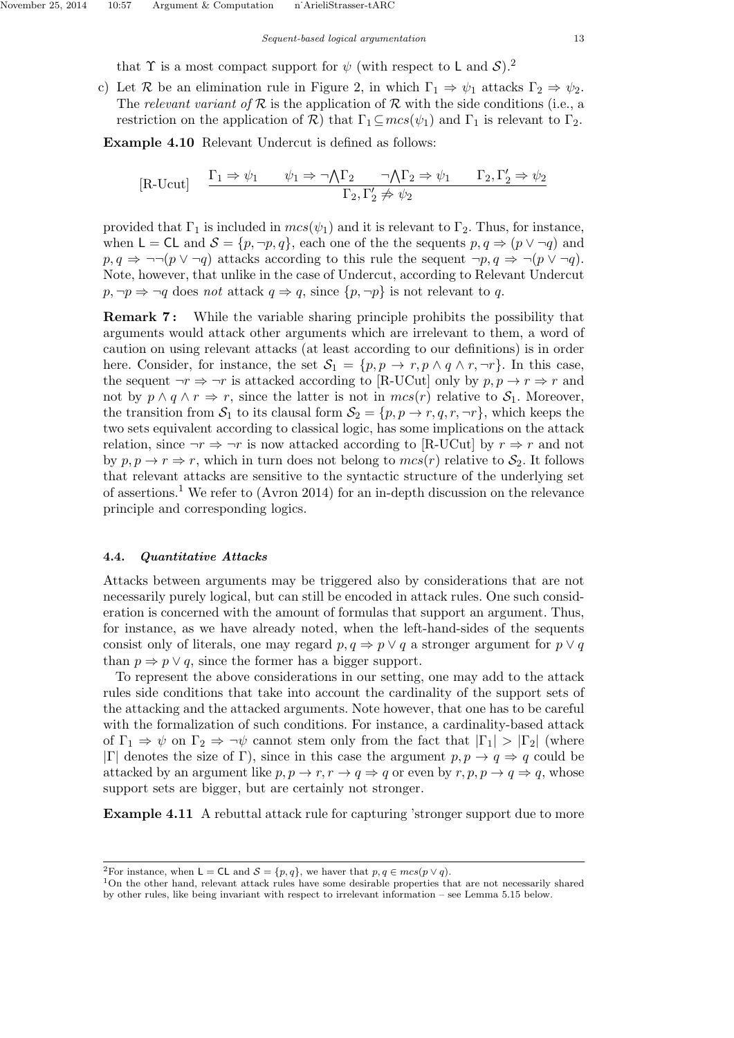that  $\Upsilon$  is a most compact support for  $\psi$  (with respect to L and  $\mathcal{S}$ ).<sup>2</sup>

c) Let R be an elimination rule in Figure 2, in which  $\Gamma_1 \Rightarrow \psi_1$  attacks  $\Gamma_2 \Rightarrow \psi_2$ . The relevant variant of  $R$  is the application of  $R$  with the side conditions (i.e., a restriction on the application of  $\mathcal{R}$ ) that  $\Gamma_1 \subseteq mcs(\psi_1)$  and  $\Gamma_1$  is relevant to  $\Gamma_2$ .

Example 4.10 Relevant Undercut is defined as follows:

$$
[\text{R-Ucut}] \quad \frac{\Gamma_1 \Rightarrow \psi_1 \quad \psi_1 \Rightarrow \neg \bigwedge \Gamma_2 \quad \neg \bigwedge \Gamma_2 \Rightarrow \psi_1 \quad \Gamma_2, \Gamma'_2 \Rightarrow \psi_2}{\Gamma_2, \Gamma'_2 \not\Rightarrow \psi_2}
$$

provided that  $\Gamma_1$  is included in  $mcs(\psi_1)$  and it is relevant to  $\Gamma_2$ . Thus, for instance, when  $\mathsf{L} = \mathsf{CL}$  and  $\mathcal{S} = \{p, \neg p, q\}$ , each one of the the sequents  $p, q \Rightarrow (p \lor \neg q)$  and  $p, q \Rightarrow \neg\neg(p \lor \neg q)$  attacks according to this rule the sequent  $\neg p, q \Rightarrow \neg(p \lor \neg q)$ . Note, however, that unlike in the case of Undercut, according to Relevant Undercut  $p, \neg p \Rightarrow \neg q$  does not attack  $q \Rightarrow q$ , since  $\{p, \neg p\}$  is not relevant to q.

**Remark 7:** While the variable sharing principle prohibits the possibility that arguments would attack other arguments which are irrelevant to them, a word of caution on using relevant attacks (at least according to our definitions) is in order here. Consider, for instance, the set  $S_1 = \{p, p \to r, p \wedge q \wedge r, \neg r\}$ . In this case, the sequent  $\neg r \Rightarrow \neg r$  is attacked according to [R-UCut] only by  $p, p \rightarrow r \Rightarrow r$  and not by  $p \wedge q \wedge r \Rightarrow r$ , since the latter is not in  $mcs(r)$  relative to  $S_1$ . Moreover, the transition from  $S_1$  to its clausal form  $S_2 = \{p, p \to r, q, r, \neg r\}$ , which keeps the two sets equivalent according to classical logic, has some implications on the attack relation, since  $\neg r \Rightarrow \neg r$  is now attacked according to [R-UCut] by  $r \Rightarrow r$  and not by  $p, p \to r \Rightarrow r$ , which in turn does not belong to  $mcs(r)$  relative to  $S_2$ . It follows that relevant attacks are sensitive to the syntactic structure of the underlying set of assertions.<sup>1</sup> We refer to (Avron 2014) for an in-depth discussion on the relevance principle and corresponding logics.

## 4.4. Quantitative Attacks

Attacks between arguments may be triggered also by considerations that are not necessarily purely logical, but can still be encoded in attack rules. One such consideration is concerned with the amount of formulas that support an argument. Thus, for instance, as we have already noted, when the left-hand-sides of the sequents consist only of literals, one may regard  $p, q \Rightarrow p \lor q$  a stronger argument for  $p \lor q$ than  $p \Rightarrow p \lor q$ , since the former has a bigger support.

To represent the above considerations in our setting, one may add to the attack rules side conditions that take into account the cardinality of the support sets of the attacking and the attacked arguments. Note however, that one has to be careful with the formalization of such conditions. For instance, a cardinality-based attack of  $\Gamma_1 \Rightarrow \psi$  on  $\Gamma_2 \Rightarrow \neg \psi$  cannot stem only from the fact that  $|\Gamma_1| > |\Gamma_2|$  (where |Γ| denotes the size of Γ), since in this case the argument  $p, p \rightarrow q \Rightarrow q$  could be attacked by an argument like  $p, p \rightarrow r, r \rightarrow q \Rightarrow q$  or even by  $r, p, p \rightarrow q \Rightarrow q$ , whose support sets are bigger, but are certainly not stronger.

Example 4.11 A rebuttal attack rule for capturing 'stronger support due to more

<sup>&</sup>lt;sup>2</sup>For instance, when **L** = **CL** and  $\mathcal{S} = \{p, q\}$ , we haver that  $p, q \in mcs(p \vee q)$ .

<sup>1</sup>On the other hand, relevant attack rules have some desirable properties that are not necessarily shared by other rules, like being invariant with respect to irrelevant information – see Lemma 5.15 below.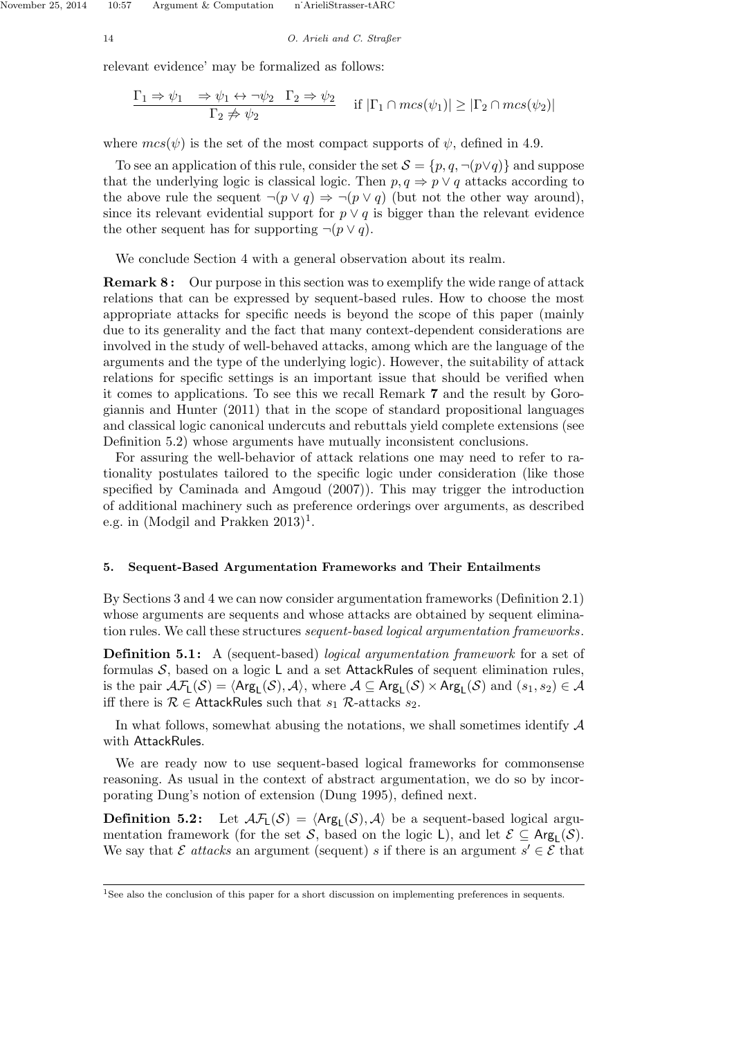14 O. Arieli and C. Straßer

relevant evidence' may be formalized as follows:

$$
\frac{\Gamma_1 \Rightarrow \psi_1 \quad \Rightarrow \psi_1 \leftrightarrow \neg \psi_2 \quad \Gamma_2 \Rightarrow \psi_2}{\Gamma_2 \not\Rightarrow \psi_2} \quad \text{if } |\Gamma_1 \cap mcs(\psi_1)| \geq |\Gamma_2 \cap mcs(\psi_2)|
$$

where  $mcs(\psi)$  is the set of the most compact supports of  $\psi$ , defined in 4.9.

To see an application of this rule, consider the set  $\mathcal{S} = \{p, q, \neg(p \lor q)\}\$  and suppose that the underlying logic is classical logic. Then  $p, q \Rightarrow p \vee q$  attacks according to the above rule the sequent  $\neg(p \lor q) \Rightarrow \neg(p \lor q)$  (but not the other way around), since its relevant evidential support for  $p \vee q$  is bigger than the relevant evidence the other sequent has for supporting  $\neg (p \lor q)$ .

We conclude Section 4 with a general observation about its realm.

**Remark 8:** Our purpose in this section was to exemplify the wide range of attack relations that can be expressed by sequent-based rules. How to choose the most appropriate attacks for specific needs is beyond the scope of this paper (mainly due to its generality and the fact that many context-dependent considerations are involved in the study of well-behaved attacks, among which are the language of the arguments and the type of the underlying logic). However, the suitability of attack relations for specific settings is an important issue that should be verified when it comes to applications. To see this we recall Remark 7 and the result by Gorogiannis and Hunter (2011) that in the scope of standard propositional languages and classical logic canonical undercuts and rebuttals yield complete extensions (see Definition 5.2) whose arguments have mutually inconsistent conclusions.

For assuring the well-behavior of attack relations one may need to refer to rationality postulates tailored to the specific logic under consideration (like those specified by Caminada and Amgoud (2007)). This may trigger the introduction of additional machinery such as preference orderings over arguments, as described e.g. in (Modgil and Prakken  $2013$ )<sup>1</sup>.

## 5. Sequent-Based Argumentation Frameworks and Their Entailments

By Sections 3 and 4 we can now consider argumentation frameworks (Definition 2.1) whose arguments are sequents and whose attacks are obtained by sequent elimination rules. We call these structures sequent-based logical argumentation frameworks.

**Definition 5.1:** A (sequent-based) *logical argumentation framework* for a set of formulas  $S$ , based on a logic L and a set AttackRules of sequent elimination rules, is the pair  $\mathcal{AF}_L(\mathcal{S}) = \langle \mathsf{Arg}_L(\mathcal{S}), \mathcal{A} \rangle$ , where  $\mathcal{A} \subseteq \mathsf{Arg}_L(\mathcal{S}) \times \mathsf{Arg}_L(\mathcal{S})$  and  $(s_1, s_2) \in \mathcal{A}$ iff there is  $\mathcal{R} \in$  AttackRules such that  $s_1$   $\mathcal{R}$ -attacks  $s_2$ .

In what follows, somewhat abusing the notations, we shall sometimes identify  $\mathcal A$ with AttackRules.

We are ready now to use sequent-based logical frameworks for commonsense reasoning. As usual in the context of abstract argumentation, we do so by incorporating Dung's notion of extension (Dung 1995), defined next.

**Definition 5.2:** Let  $\mathcal{A}\mathcal{F}_L(\mathcal{S}) = \langle \text{Arg}_L(\mathcal{S}), \mathcal{A} \rangle$  be a sequent-based logical argumentation framework (for the set S, based on the logic L), and let  $\mathcal{E} \subseteq \mathsf{Arg}_L(\mathcal{S})$ . We say that  $\mathcal E$  attacks an argument (sequent) s if there is an argument  $s' \in \mathcal E$  that

<sup>&</sup>lt;sup>1</sup>See also the conclusion of this paper for a short discussion on implementing preferences in sequents.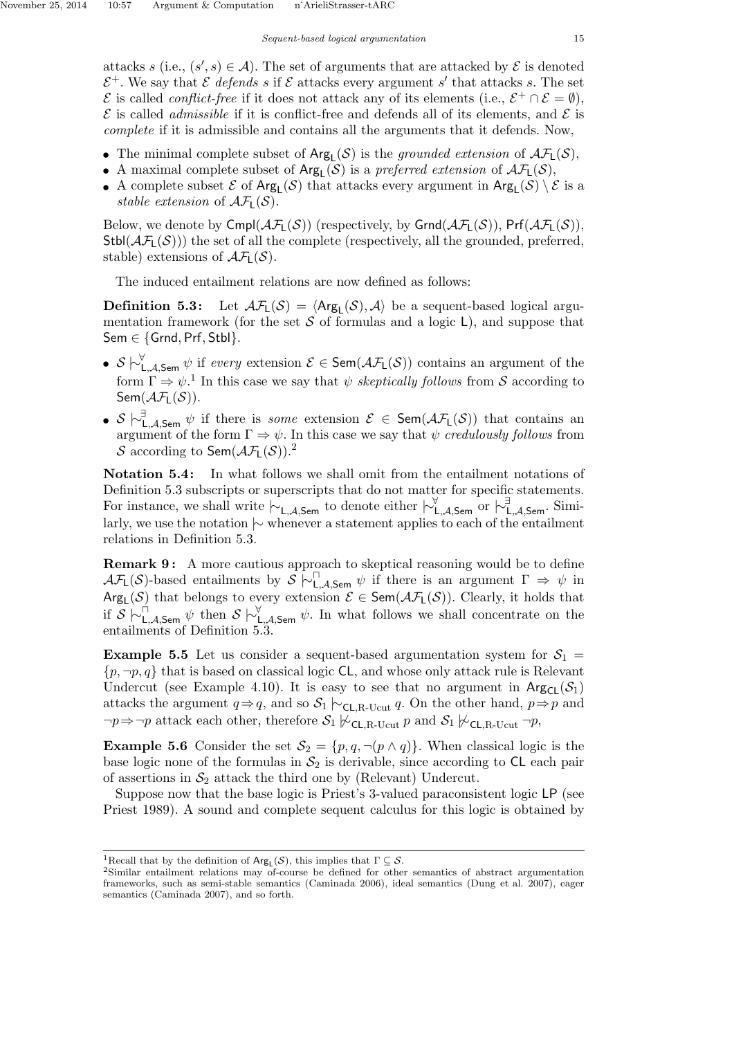attacks s (i.e.,  $(s', s) \in \mathcal{A}$ ). The set of arguments that are attacked by  $\mathcal{E}$  is denoted  $\mathcal{E}^+$ . We say that  $\mathcal E$  defends s if  $\mathcal E$  attacks every argument s' that attacks s. The set  $\mathcal E$  is called *conflict-free* if it does not attack any of its elements (i.e.,  $\mathcal E^+ \cap \mathcal E = \emptyset$ ),  $\mathcal E$  is called *admissible* if it is conflict-free and defends all of its elements, and  $\mathcal E$  is complete if it is admissible and contains all the arguments that it defends. Now,

- The minimal complete subset of  $Arg_L(S)$  is the grounded extension of  $\mathcal{AF}_L(S)$ ,
- A maximal complete subset of  $Arg_{L}(\mathcal{S})$  is a preferred extension of  $\mathcal{AF}_{L}(\mathcal{S})$ ,
- A complete subset  $\mathcal E$  of  $Arg_L(\mathcal S)$  that attacks every argument in  $Arg_L(\mathcal S) \setminus \mathcal E$  is a stable extension of  $\mathcal{AF}_1(\mathcal{S})$ .

Below, we denote by  $Cmpl(\mathcal{AF}_{1}(\mathcal{S}))$  (respectively, by  $Grnd(\mathcal{AF}_{1}(\mathcal{S}))$ ,  $Pr(\mathcal{AF}_{1}(\mathcal{S}))$ ,  $Stbl(\mathcal{AF}_L(\mathcal{S}))$ ) the set of all the complete (respectively, all the grounded, preferred, stable) extensions of  $\mathcal{AF}_L(\mathcal{S})$ .

The induced entailment relations are now defined as follows:

**Definition 5.3:** Let  $\mathcal{A}\mathcal{F}_L(\mathcal{S}) = \langle \text{Arg}_L(\mathcal{S}), \mathcal{A} \rangle$  be a sequent-based logical argumentation framework (for the set  $S$  of formulas and a logic  $L$ ), and suppose that Sem  $\in$  {Grnd, Prf, Stbl}.

- $S \nightharpoonup_{\mathsf{L},\mathcal{A},\mathsf{Sem}}^{\forall} \psi$  if every extension  $\mathcal{E} \in \mathsf{Sem}(\mathcal{AF}_\mathsf{L}(\mathcal{S}))$  contains an argument of the form  $\Gamma \Rightarrow \psi$ <sup>1</sup>. In this case we say that  $\psi$  *skeptically follows* from S according to Sem $(\mathcal{AF}_1(\mathcal{S}))$ .
- S  $\sim$   $\stackrel{\exists}{\sim}$   $\downarrow$ ,  $\lambda$ , Sem  $\psi$  if there is *some* extension  $\mathcal{E} \in \mathsf{Sem}(\mathcal{AF}_L(\mathcal{S}))$  that contains an argument of the form  $\Gamma \Rightarrow \psi$ . In this case we say that  $\psi$  credulously follows from S according to Sem $(\mathcal{AF}_L(\mathcal{S}))$ .

Notation 5.4: In what follows we shall omit from the entailment notations of Definition 5.3 subscripts or superscripts that do not matter for specific statements. For instance, we shall write  $\vdash_{\mathsf{L},\mathcal{A},\mathsf{Sem}}$  to denote either  $\vdash_{\mathsf{L},\mathcal{A},\mathsf{Sem}}^{\forall}$  or  $\vdash_{\mathsf{L},\mathcal{A},\mathsf{Sem}}^{\exists}$ . Similarly, we use the notation |∼ whenever a statement applies to each of the entailment relations in Definition 5.3.

**Remark 9:** A more cautious approach to skeptical reasoning would be to define  $\mathcal{AF}_L(\mathcal{S})$ -based entailments by  $\mathcal{S} \sim \bigcup_{L,\mathcal{A},\mathsf{Sem}} \psi$  if there is an argument  $\Gamma \Rightarrow \psi$  in  $\text{Arg}_{L}(\mathcal{S})$  that belongs to every extension  $\mathcal{E} \in \text{Sem}(\mathcal{AF}_{L}(\mathcal{S}))$ . Clearly, it holds that if  $S \n\vdash^{\Box}_{\mathsf{L},\mathcal{A},\mathsf{Sem}} \psi$  then  $S \n\vdash^{\forall}_{\mathsf{L},\mathcal{A},\mathsf{Sem}} \psi$ . In what follows we shall concentrate on the entailments of Definition 5.3.

**Example 5.5** Let us consider a sequent-based argumentation system for  $S_1$  =  $\{p, \neg p, q\}$  that is based on classical logic CL, and whose only attack rule is Relevant Undercut (see Example 4.10). It is easy to see that no argument in  $Arg_C(S_1)$ attacks the argument  $q \Rightarrow q$ , and so  $S_1 \rhd_{\text{CL,R-Ucut}} q$ . On the other hand,  $p \Rightarrow p$  and  $\neg p \Rightarrow \neg p$  attack each other, therefore  $S_1 \not\sim_{C\Box R\text{-Hcut}} p$  and  $S_1 \not\sim_{C\Box R\text{-Hcut}} \neg p$ ,

**Example 5.6** Consider the set  $S_2 = \{p, q, \neg(p \land q)\}\)$ . When classical logic is the base logic none of the formulas in  $S_2$  is derivable, since according to CL each pair of assertions in  $S_2$  attack the third one by (Relevant) Undercut.

Suppose now that the base logic is Priest's 3-valued paraconsistent logic LP (see Priest 1989). A sound and complete sequent calculus for this logic is obtained by

<sup>&</sup>lt;sup>1</sup>Recall that by the definition of  $Arg_{\mathsf{L}}(\mathcal{S})$ , this implies that  $\Gamma \subseteq \mathcal{S}$ .

<sup>2</sup>Similar entailment relations may of-course be defined for other semantics of abstract argumentation frameworks, such as semi-stable semantics (Caminada 2006), ideal semantics (Dung et al. 2007), eager semantics (Caminada 2007), and so forth.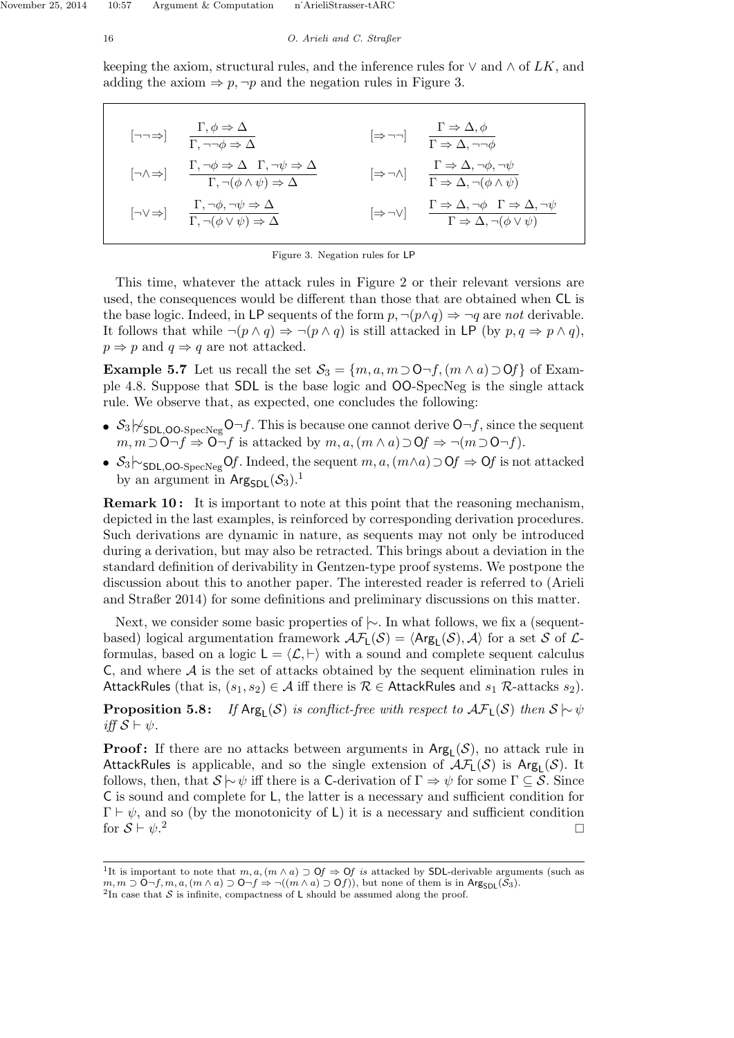keeping the axiom, structural rules, and the inference rules for  $\vee$  and  $\wedge$  of LK, and adding the axiom  $\Rightarrow p, \neg p$  and the negation rules in Figure 3.

$$
\begin{array}{llll}\n\left[\neg\neg\Rightarrow\right] & \frac{\Gamma, \phi \Rightarrow \Delta}{\Gamma, \neg\neg\phi \Rightarrow \Delta} & \left[\Rightarrow \neg\neg\right] & \frac{\Gamma \Rightarrow \Delta, \phi}{\Gamma \Rightarrow \Delta, \neg\neg\phi} \\
\left[\neg\wedge\Rightarrow\right] & \frac{\Gamma, \neg\phi \Rightarrow \Delta}{\Gamma, \neg(\phi \land \psi) \Rightarrow \Delta} & \left[\Rightarrow \neg\wedge\right] & \frac{\Gamma \Rightarrow \Delta, \neg\phi, \neg\psi}{\Gamma \Rightarrow \Delta, \neg(\phi \land \psi)} \\
\left[\neg\vee\Rightarrow\right] & \frac{\Gamma, \neg\phi, \neg\psi \Rightarrow \Delta}{\Gamma, \neg(\phi \lor \psi) \Rightarrow \Delta} & \left[\Rightarrow\neg\vee\right] & \frac{\Gamma \Rightarrow \Delta, \neg\phi \quad \Gamma \Rightarrow \Delta, \neg\psi}{\Gamma \Rightarrow \Delta, \neg(\phi \lor \psi)}\n\end{array}
$$

|  | Figure 3. Negation rules for LP |  |  |
|--|---------------------------------|--|--|
|  |                                 |  |  |

This time, whatever the attack rules in Figure 2 or their relevant versions are used, the consequences would be different than those that are obtained when CL is the base logic. Indeed, in LP sequents of the form  $p, \neg(p \land q) \Rightarrow \neg q$  are not derivable. It follows that while  $\neg(p \land q) \Rightarrow \neg(p \land q)$  is still attacked in LP (by  $p, q \Rightarrow p \land q$ ),  $p \Rightarrow p$  and  $q \Rightarrow q$  are not attacked.

Example 5.7 Let us recall the set  $S_3 = \{m, a, m \supset 0 \neg f, (m \wedge a) \supset 0f\}$  of Example 4.8. Suppose that SDL is the base logic and OO-SpecNeg is the single attack rule. We observe that, as expected, one concludes the following:

- $S_3 \not\sim_{\text{SDL,OO-SpecNeg}} O \neg f$ . This is because one cannot derive  $O \neg f$ , since the sequent  $m, m\supset O\neg f \Rightarrow O\neg f$  is attacked by  $m, a, (m\wedge a)\supset Of \Rightarrow \neg(m\supset O\neg f)$ .
- $S_3 \sim_{\text{SDL,OO-SpecNeg}} 0f$ . Indeed, the sequent  $m, a, (m \wedge a) \supset 0f \Rightarrow 0f$  is not attacked by an argument in Arg<sub>SDL</sub> $(\mathcal{S}_3)$ .<sup>1</sup>

**Remark 10:** It is important to note at this point that the reasoning mechanism, depicted in the last examples, is reinforced by corresponding derivation procedures. Such derivations are dynamic in nature, as sequents may not only be introduced during a derivation, but may also be retracted. This brings about a deviation in the standard definition of derivability in Gentzen-type proof systems. We postpone the discussion about this to another paper. The interested reader is referred to (Arieli and Straßer 2014) for some definitions and preliminary discussions on this matter.

Next, we consider some basic properties of  $\sim$ . In what follows, we fix a (sequentbased) logical argumentation framework  $\mathcal{AF}_L(\mathcal{S}) = \langle \text{Arg}_L(\mathcal{S}), \mathcal{A} \rangle$  for a set S of  $\mathcal{L}$ formulas, based on a logic  $L = \langle \mathcal{L}, \vdash \rangle$  with a sound and complete sequent calculus C, and where  $A$  is the set of attacks obtained by the sequent elimination rules in AttackRules (that is,  $(s_1, s_2) \in \mathcal{A}$  iff there is  $\mathcal{R} \in$  AttackRules and  $s_1$   $\mathcal{R}$ -attacks  $s_2$ ).

**Proposition 5.8:** If  $Arg_L(S)$  is conflict-free with respect to  $\mathcal{AF}_L(S)$  then  $S \sim \psi$ iff  $S \vdash \psi$ .

**Proof:** If there are no attacks between arguments in  $Arg<sub>L</sub>(S)$ , no attack rule in AttackRules is applicable, and so the single extension of  $\mathcal{AF}_L(\mathcal{S})$  is  $\mathsf{Arg}_L(\mathcal{S})$ . It follows, then, that  $\mathcal{S} \models \psi$  iff there is a C-derivation of  $\Gamma \Rightarrow \psi$  for some  $\Gamma \subseteq \mathcal{S}$ . Since C is sound and complete for L, the latter is a necessary and sufficient condition for  $\Gamma \vdash \psi$ , and so (by the monotonicity of L) it is a necessary and sufficient condition for  $S \vdash \psi$ .<sup>2</sup>  $2 \overline{ }$ 

<sup>&</sup>lt;sup>1</sup>It is important to note that  $m, a, (m \wedge a) \supset \mathbf{0}f \Rightarrow \mathbf{0}f$  is attacked by SDL-derivable arguments (such as  $m, m \supset \mathsf{O}\neg f, m, a, (m \wedge a) \supset \mathsf{O}\neg f \Rightarrow \neg((m \wedge a) \supset \mathsf{O}f))$ , but none of them is in Arg<sub>SDL</sub>(S<sub>3</sub>). <sup>2</sup>In case that  $S$  is infinite, compactness of L should be assumed along the proof.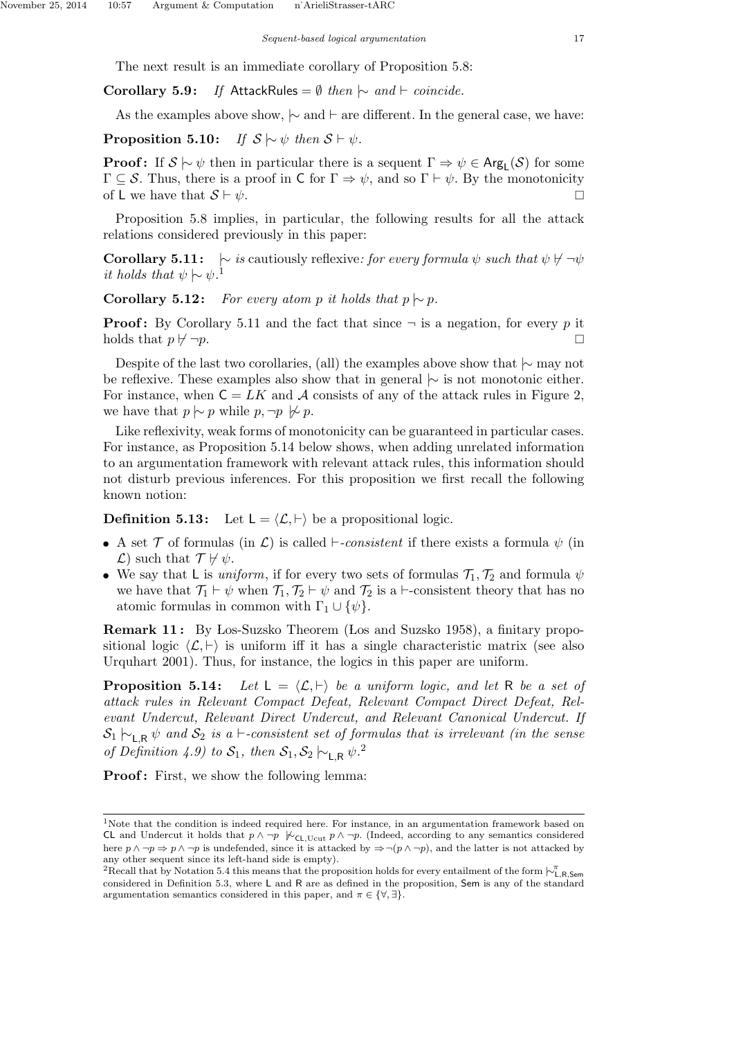The next result is an immediate corollary of Proposition 5.8:

Corollary 5.9: If AttackRules =  $\emptyset$  then  $\sim$  and  $\vdash$  coincide.

As the examples above show,  $\sim$  and  $\vdash$  are different. In the general case, we have:

**Proposition 5.10:** If  $S \sim \psi$  then  $S \vdash \psi$ .

**Proof:** If  $S \sim \psi$  then in particular there is a sequent  $\Gamma \Rightarrow \psi \in \text{Arg}_{\mathsf{L}}(\mathcal{S})$  for some  $\Gamma \subset \mathcal{S}$ . Thus, there is a proof in C for  $\Gamma \Rightarrow \psi$ , and so  $\Gamma \vdash \psi$ . By the monotonicity of L we have that  $S \vdash \psi$ .

Proposition 5.8 implies, in particular, the following results for all the attack relations considered previously in this paper:

**Corollary 5.11:**  $\sim$  is cautiously reflexive: for every formula  $\psi$  such that  $\psi \not\vdash \neg \psi$ it holds that  $\psi \sim \psi$ .<sup>1</sup>

Corollary 5.12: For every atom p it holds that  $p \mid ∼ p$ .

**Proof:** By Corollary 5.11 and the fact that since  $\neg$  is a negation, for every p it holds that  $p \not\vdash \neg p$ .

Despite of the last two corollaries, (all) the examples above show that  $\sim$  may not be reflexive. These examples also show that in general  $\sim$  is not monotonic either. For instance, when  $C = LK$  and A consists of any of the attack rules in Figure 2, we have that  $p \sim p$  while  $p, \neg p \not\sim p$ .

Like reflexivity, weak forms of monotonicity can be guaranteed in particular cases. For instance, as Proposition 5.14 below shows, when adding unrelated information to an argumentation framework with relevant attack rules, this information should not disturb previous inferences. For this proposition we first recall the following known notion:

**Definition 5.13:** Let  $L = \langle \mathcal{L}, \vdash \rangle$  be a propositional logic.

- A set  $\mathcal T$  of formulas (in  $\mathcal L$ ) is called  $\vdash$ -consistent if there exists a formula  $\psi$  (in  $\mathcal{L}$ ) such that  $\mathcal{T} \not\vdash \psi$ .
- We say that L is *uniform*, if for every two sets of formulas  $\mathcal{T}_1, \mathcal{T}_2$  and formula  $\psi$ we have that  $\mathcal{T}_1 \vdash \psi$  when  $\mathcal{T}_1, \mathcal{T}_2 \vdash \psi$  and  $\mathcal{T}_2$  is a  $\vdash$ -consistent theory that has no atomic formulas in common with  $\Gamma_1 \cup {\psi}.$

**Remark 11:** By Los-Suzsko Theorem (Los and Suzsko 1958), a finitary propositional logic  $\langle \mathcal{L}, \vdash \rangle$  is uniform iff it has a single characteristic matrix (see also Urquhart 2001). Thus, for instance, the logics in this paper are uniform.

**Proposition 5.14:** Let  $L = \langle L, \vdash \rangle$  be a uniform logic, and let R be a set of attack rules in Relevant Compact Defeat, Relevant Compact Direct Defeat, Relevant Undercut, Relevant Direct Undercut, and Relevant Canonical Undercut. If  $S_1 \rightarrow_{LR} \psi$  and  $S_2$  is a  $\vdash$ -consistent set of formulas that is irrelevant (in the sense of Definition 4.9) to  $S_1$ , then  $S_1, S_2 \rightarrow_{\mathsf{L},\mathsf{R}} \psi$ .<sup>2</sup>

**Proof:** First, we show the following lemma:

<sup>&</sup>lt;sup>1</sup>Note that the condition is indeed required here. For instance, in an argumentation framework based on CL and Undercut it holds that  $p \land \neg p$   $\nvdash_{\mathsf{CL},\mathsf{Ucut}} p \land \neg p$ . (Indeed, according to any semantics considered here  $p \land \neg p \Rightarrow p \land \neg p$  is undefended, since it is attacked by  $\Rightarrow \neg (p \land \neg p)$ , and the latter is not attacked by any other sequent since its left-hand side is empty).

<sup>&</sup>lt;sup>2</sup>Recall that by Notation 5.4 this means that the proposition holds for every entailment of the form  $\vdash^{\pi}_{L,R,\text{Sem}}$ considered in Definition 5.3, where L and R are as defined in the proposition, Sem is any of the standard argumentation semantics considered in this paper, and  $\pi \in \{ \forall, \exists \}.$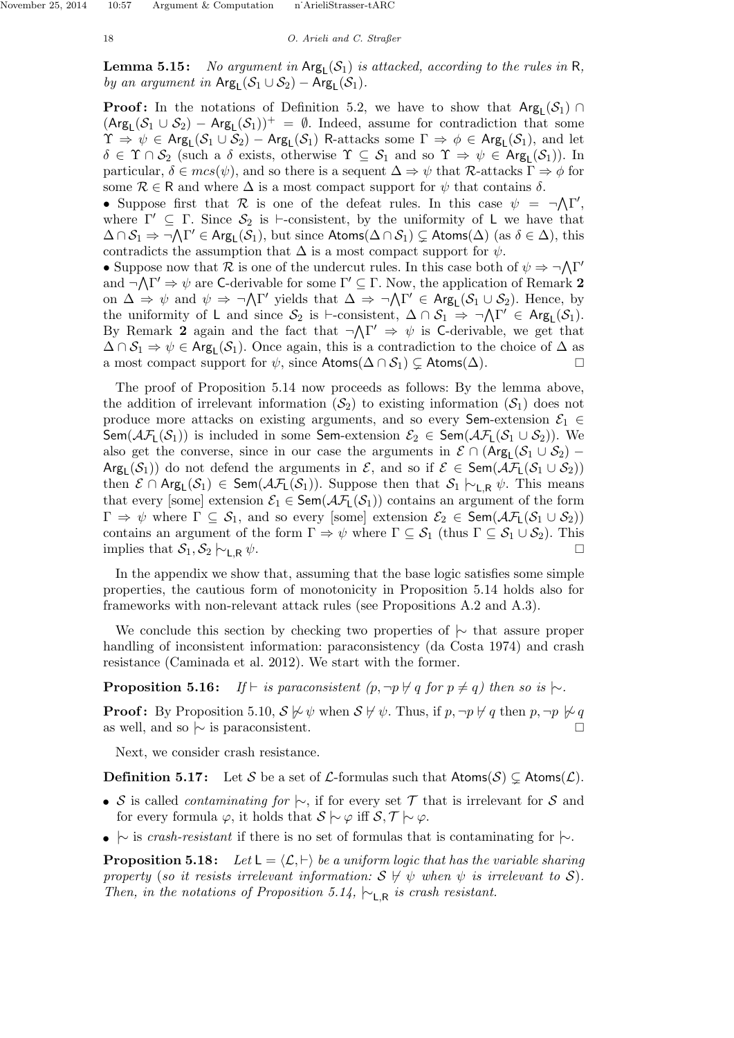**Lemma 5.15:** No argument in  $Arg_{L}(S_1)$  is attacked, according to the rules in R, by an argument in  $\text{Arg}_{\mathsf{L}}(\mathcal{S}_1 \cup \mathcal{S}_2) - \text{Arg}_{\mathsf{L}}(\mathcal{S}_1)$ .

**Proof:** In the notations of Definition 5.2, we have to show that  $Arg_L(S_1) \cap$  $(\text{Arg}_{L}(\mathcal{S}_1 \cup \mathcal{S}_2) - \text{Arg}_{L}(\mathcal{S}_1))^+ = \emptyset$ . Indeed, assume for contradiction that some  $\Upsilon \Rightarrow \psi \in \mathsf{Arg}_L(\mathcal{S}_1 \cup \mathcal{S}_2) - \mathsf{Arg}_L(\mathcal{S}_1)$  R-attacks some  $\Gamma \Rightarrow \phi \in \mathsf{Arg}_L(\mathcal{S}_1)$ , and let  $\delta \in \Upsilon \cap \mathcal{S}_2$  (such a  $\delta$  exists, otherwise  $\Upsilon \subseteq \mathcal{S}_1$  and so  $\Upsilon \Rightarrow \psi \in \text{Arg}_{\mathsf{L}}(\mathcal{S}_1)$ ). In particular,  $\delta \in mcs(\psi)$ , and so there is a sequent  $\Delta \Rightarrow \psi$  that R-attacks  $\Gamma \Rightarrow \phi$  for some  $\mathcal{R} \in \mathsf{R}$  and where  $\Delta$  is a most compact support for  $\psi$  that contains  $\delta$ .

• Suppose first that R is one of the defeat rules. In this case  $\psi = \neg \Lambda \Gamma'$ , where  $\Gamma' \subseteq \Gamma$ . Since  $S_2$  is  $\vdash$ -consistent, by the uniformity of L we have that  $\Delta \cap \mathcal{S}_1 \Rightarrow \neg \Lambda \Gamma' \in \text{Arg}_{\mathsf{L}}(\mathcal{S}_1)$ , but since  $\mathsf{Atoms}(\Delta \cap \mathcal{S}_1) \subsetneq \mathsf{Atoms}(\Delta)$  (as  $\delta \in \Delta$ ), this contradicts the assumption that  $\Delta$  is a most compact support for  $\psi$ .

• Suppose now that R is one of the undercut rules. In this case both of  $\psi \Rightarrow \neg \Lambda \Gamma'$ and  $\neg \Lambda \Gamma' \Rightarrow \psi$  are C-derivable for some  $\Gamma' \subseteq \Gamma$ . Now, the application of Remark 2 on  $\Delta \Rightarrow \psi$  and  $\psi \Rightarrow \neg \Lambda \Gamma'$  yields that  $\Delta \Rightarrow \neg \Lambda \Gamma' \in \text{Arg}_{L}(\mathcal{S}_{1} \cup \mathcal{S}_{2})$ . Hence, by the uniformity of L and since  $S_2$  is  $\vdash$ -consistent,  $\Delta \cap S_1 \Rightarrow \neg \Lambda \Gamma' \in \text{Arg}_L(S_1)$ . By Remark 2 again and the fact that  $\neg \Lambda \Gamma' \Rightarrow \psi$  is C-derivable, we get that  $\Delta \cap \mathcal{S}_1 \Rightarrow \psi \in \text{Arg}_{\mathsf{L}}(\mathcal{S}_1)$ . Once again, this is a contradiction to the choice of  $\Delta$  as a most compact support for  $\psi$ , since  $\mathsf{Atoms}(\Delta \cap \mathcal{S}_1) \subset \mathsf{Atoms}(\Delta)$ .

The proof of Proposition 5.14 now proceeds as follows: By the lemma above, the addition of irrelevant information  $(S_2)$  to existing information  $(S_1)$  does not produce more attacks on existing arguments, and so every Sem-extension  $\mathcal{E}_1 \in$ Sem( $\mathcal{AF}_L(\mathcal{S}_1)$ ) is included in some Sem-extension  $\mathcal{E}_2 \in \mathsf{Sem}(\mathcal{AF}_L(\mathcal{S}_1 \cup \mathcal{S}_2))$ . We also get the converse, since in our case the arguments in  $\mathcal{E} \cap (\text{Arg}_{\mathsf{L}}(\mathcal{S}_1 \cup \mathcal{S}_2)$  –  $\mathsf{Arg}_\mathsf{L}(\mathcal{S}_1)$  do not defend the arguments in  $\mathcal{E}$ , and so if  $\mathcal{E} \in \mathsf{Sem}(\mathcal{AF}_\mathsf{L}(\mathcal{S}_1 \cup \mathcal{S}_2))$ then  $\mathcal{E} \cap \text{Arg}_L(\mathcal{S}_1) \in \text{Sem}(\mathcal{AF}_L(\mathcal{S}_1))$ . Suppose then that  $\mathcal{S}_1 \vdash_{L,R} \psi$ . This means that every [some] extension  $\mathcal{E}_1 \in \text{Sem}(\mathcal{AF}_L(\mathcal{S}_1))$  contains an argument of the form  $\Gamma \Rightarrow \psi$  where  $\Gamma \subseteq \mathcal{S}_1$ , and so every [some] extension  $\mathcal{E}_2 \in \mathsf{Sem}(\mathcal{AF}_1(\mathcal{S}_1 \cup \mathcal{S}_2))$ contains an argument of the form  $\Gamma \Rightarrow \psi$  where  $\Gamma \subseteq \mathcal{S}_1$  (thus  $\Gamma \subseteq \mathcal{S}_1 \cup \mathcal{S}_2$ ). This implies that  $S_1, S_2 \vdash_{\mathsf{LR}} \psi$ .

In the appendix we show that, assuming that the base logic satisfies some simple properties, the cautious form of monotonicity in Proposition 5.14 holds also for frameworks with non-relevant attack rules (see Propositions A.2 and A.3).

We conclude this section by checking two properties of  $\sim$  that assure proper handling of inconsistent information: paraconsistency (da Costa 1974) and crash resistance (Caminada et al. 2012). We start with the former.

**Proposition 5.16:** If  $\vdash$  is paraconsistent  $(p, \neg p \nleftrightarrow q$  for  $p \neq q$ ) then so is  $\mid \sim$ .

**Proof:** By Proposition 5.10,  $S \not\models \psi$  when  $S \not\models \psi$ . Thus, if p, ¬p  $\nvdash q$  then p, ¬p  $\nvdash q$ as well, and so  $\sim$  is paraconsistent.

Next, we consider crash resistance.

**Definition 5.17:** Let S be a set of L-formulas such that  $\text{Atoms}(S) \subsetneq \text{Atoms}(L)$ .

- S is called *contaminating for*  $\sim$ , if for every set T that is irrelevant for S and for every formula  $\varphi$ , it holds that  $S \vdash \varphi$  iff  $S, \mathcal{T} \vdash \varphi$ .
- $\sim$  is crash-resistant if there is no set of formulas that is contaminating for  $\sim$ .

**Proposition 5.18:** Let  $L = \langle L, \vdash \rangle$  be a uniform logic that has the variable sharing property (so it resists irrelevant information:  $S \not\vdash \psi$  when  $\psi$  is irrelevant to S). Then, in the notations of Proposition 5.14,  $\vdash_{\mathsf{L},\mathsf{R}}$  is crash resistant.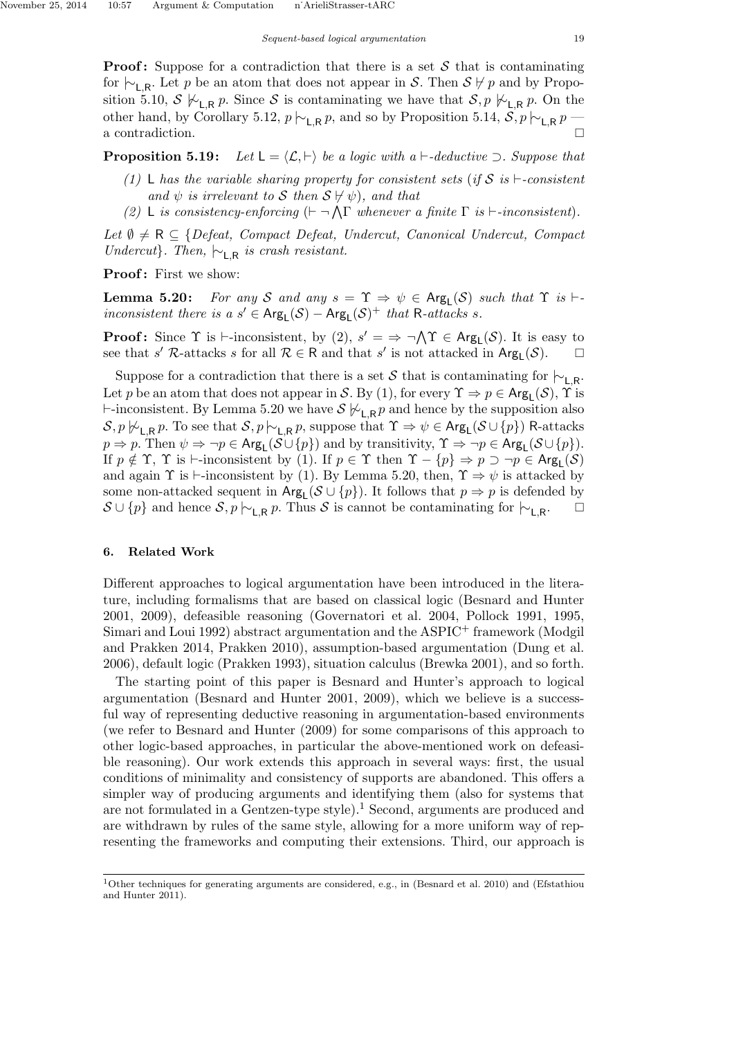**Proof:** Suppose for a contradiction that there is a set  $S$  that is contaminating for  $\vdash_{\mathsf{L},\mathsf{R}}$ . Let p be an atom that does not appear in S. Then  $\mathcal{S} \not\vdash p$  and by Proposition 5.10,  $S \not\vdash_{\mathsf{L},\mathsf{R}} p$ . Since S is contaminating we have that  $S, p \not\vdash_{\mathsf{L},\mathsf{R}} p$ . On the other hand, by Corollary 5.12,  $p \nmid \sim_{\mathsf{L},\mathsf{R}} p$ , and so by Proposition 5.14,  $S, p \nmid \sim_{\mathsf{L},\mathsf{R}} p$ a contradiction.

**Proposition 5.19:** Let  $L = \langle \mathcal{L}, \vdash \rangle$  be a logic with a  $\vdash$ -deductive  $\supset$ . Suppose that

- (1) L has the variable sharing property for consistent sets (if S is  $\vdash$ -consistent and  $\psi$  is irrelevant to S then  $S \nvDash \psi$ , and that
- (2) L is consistency-enforcing  $(\vdash \neg \bigwedge \Gamma$  whenever a finite  $\Gamma$  is  $\vdash$ -inconsistent).

Let  $\emptyset \neq \mathsf{R} \subseteq \{Defeat, \; Compact \; Defeat, \; Undercut, \; Canonical \; Undercut, \; Compact$ Undercut}. Then,  $\vdash_{\mathsf{L},\mathsf{R}}$  is crash resistant.

Proof: First we show:

**Lemma 5.20:** For any S and any  $s = \Upsilon \Rightarrow \psi \in \text{Arg}_{\mathsf{L}}(\mathcal{S})$  such that  $\Upsilon$  is  $\vdash$ inconsistent there is a  $s' \in \text{Arg}_{L}(S) - \text{Arg}_{L}(S)^{+}$  that R-attacks s.

**Proof:** Since  $\Upsilon$  is  $\vdash$ -inconsistent, by (2),  $s' = \Rightarrow \neg \wedge \Upsilon \in \text{Arg}_{L}(\mathcal{S})$ . It is easy to see that s' R-attacks s for all  $\mathcal{R} \in \mathsf{R}$  and that s' is not attacked in  $\mathsf{Arg}_\mathsf{L}(\mathcal{S})$ .

Suppose for a contradiction that there is a set S that is contaminating for  $\vdash_{\mathsf{L},\mathsf{R}}$ . Let p be an atom that does not appear in S. By (1), for every  $\Upsilon \Rightarrow p \in \text{Arg}_{\mathsf{L}}(\mathcal{S})$ ,  $\Upsilon$  is  $\vdash$ -inconsistent. By Lemma 5.20 we have  $\mathcal{S} \not\vdash_{\mathsf{L},\mathsf{R}} p$  and hence by the supposition also  $S, p \not\vdash_{\mathsf{L},\mathsf{R}} p$ . To see that  $S, p \not\vdash_{\mathsf{L},\mathsf{R}} p$ , suppose that  $\Upsilon \Rightarrow \psi \in \mathsf{Arg}_{\mathsf{L}}(\mathcal{S} \cup \{p\})$  R-attacks  $p \Rightarrow p$ . Then  $\psi \Rightarrow \neg p \in \text{Arg}_{\mathsf{L}}(\mathcal{S} \cup \{p\})$  and by transitivity,  $\Upsilon \Rightarrow \neg p \in \text{Arg}_{\mathsf{L}}(\mathcal{S} \cup \{p\})$ . If  $p \notin \Upsilon$ ,  $\Upsilon$  is  $\vdash$ -inconsistent by (1). If  $p \in \Upsilon$  then  $\Upsilon - \{p\} \Rightarrow p \supset \neg p \in \text{Arg}_L(\mathcal{S})$ and again  $\Upsilon$  is  $\vdash$ -inconsistent by (1). By Lemma 5.20, then,  $\Upsilon \Rightarrow \psi$  is attacked by some non-attacked sequent in  $Arg_{L}(\mathcal{S} \cup \{p\})$ . It follows that  $p \Rightarrow p$  is defended by  $S \cup \{p\}$  and hence  $S, p \nmid \sim_{L,R} p$ . Thus S is cannot be contaminating for  $\mid \sim_{L,R} p$ .  $\Box$ 

#### 6. Related Work

Different approaches to logical argumentation have been introduced in the literature, including formalisms that are based on classical logic (Besnard and Hunter 2001, 2009), defeasible reasoning (Governatori et al. 2004, Pollock 1991, 1995, Simari and Loui 1992) abstract argumentation and the ASPIC<sup>+</sup> framework (Modgil and Prakken 2014, Prakken 2010), assumption-based argumentation (Dung et al. 2006), default logic (Prakken 1993), situation calculus (Brewka 2001), and so forth.

The starting point of this paper is Besnard and Hunter's approach to logical argumentation (Besnard and Hunter 2001, 2009), which we believe is a successful way of representing deductive reasoning in argumentation-based environments (we refer to Besnard and Hunter (2009) for some comparisons of this approach to other logic-based approaches, in particular the above-mentioned work on defeasible reasoning). Our work extends this approach in several ways: first, the usual conditions of minimality and consistency of supports are abandoned. This offers a simpler way of producing arguments and identifying them (also for systems that are not formulated in a Gentzen-type style.<sup>1</sup> Second, arguments are produced and are withdrawn by rules of the same style, allowing for a more uniform way of representing the frameworks and computing their extensions. Third, our approach is

<sup>1</sup>Other techniques for generating arguments are considered, e.g., in (Besnard et al. 2010) and (Efstathiou and Hunter 2011).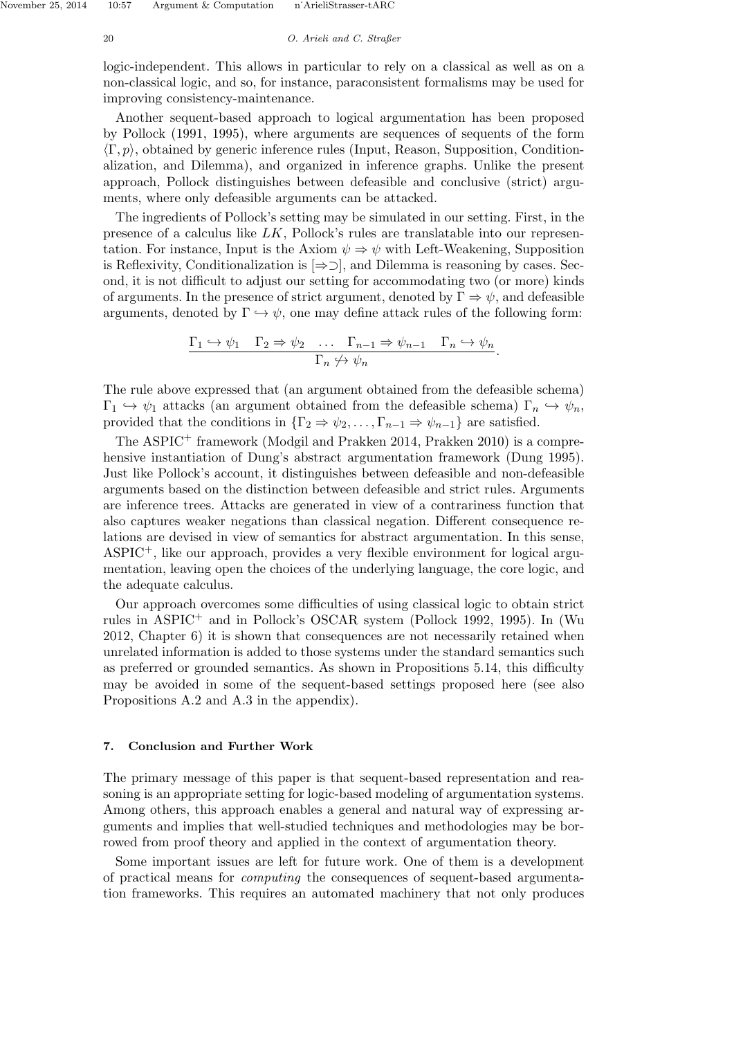#### 20 O. Arieli and C. Straßer

logic-independent. This allows in particular to rely on a classical as well as on a non-classical logic, and so, for instance, paraconsistent formalisms may be used for improving consistency-maintenance.

Another sequent-based approach to logical argumentation has been proposed by Pollock (1991, 1995), where arguments are sequences of sequents of the form  $\langle \Gamma, p \rangle$ , obtained by generic inference rules (Input, Reason, Supposition, Conditionalization, and Dilemma), and organized in inference graphs. Unlike the present approach, Pollock distinguishes between defeasible and conclusive (strict) arguments, where only defeasible arguments can be attacked.

The ingredients of Pollock's setting may be simulated in our setting. First, in the presence of a calculus like LK, Pollock's rules are translatable into our representation. For instance, Input is the Axiom  $\psi \Rightarrow \psi$  with Left-Weakening, Supposition is Reflexivity, Conditionalization is  $[\Rightarrow \supset]$ , and Dilemma is reasoning by cases. Second, it is not difficult to adjust our setting for accommodating two (or more) kinds of arguments. In the presence of strict argument, denoted by  $\Gamma \Rightarrow \psi$ , and defeasible arguments, denoted by  $\Gamma \hookrightarrow \psi$ , one may define attack rules of the following form:

$$
\frac{\Gamma_1 \hookrightarrow \psi_1 \quad \Gamma_2 \Rightarrow \psi_2 \quad \dots \quad \Gamma_{n-1} \Rightarrow \psi_{n-1} \quad \Gamma_n \hookrightarrow \psi_n}{\Gamma_n \not\hookrightarrow \psi_n}.
$$

The rule above expressed that (an argument obtained from the defeasible schema)  $\Gamma_1 \hookrightarrow \psi_1$  attacks (an argument obtained from the defeasible schema)  $\Gamma_n \hookrightarrow \psi_n$ , provided that the conditions in  $\{\Gamma_2 \Rightarrow \psi_2, \dots, \Gamma_{n-1} \Rightarrow \psi_{n-1}\}\)$  are satisfied.

The ASPIC<sup>+</sup> framework (Modgil and Prakken 2014, Prakken 2010) is a comprehensive instantiation of Dung's abstract argumentation framework (Dung 1995). Just like Pollock's account, it distinguishes between defeasible and non-defeasible arguments based on the distinction between defeasible and strict rules. Arguments are inference trees. Attacks are generated in view of a contrariness function that also captures weaker negations than classical negation. Different consequence relations are devised in view of semantics for abstract argumentation. In this sense, ASPIC+, like our approach, provides a very flexible environment for logical argumentation, leaving open the choices of the underlying language, the core logic, and the adequate calculus.

Our approach overcomes some difficulties of using classical logic to obtain strict rules in ASPIC<sup>+</sup> and in Pollock's OSCAR system (Pollock 1992, 1995). In (Wu 2012, Chapter 6) it is shown that consequences are not necessarily retained when unrelated information is added to those systems under the standard semantics such as preferred or grounded semantics. As shown in Propositions 5.14, this difficulty may be avoided in some of the sequent-based settings proposed here (see also Propositions A.2 and A.3 in the appendix).

#### 7. Conclusion and Further Work

The primary message of this paper is that sequent-based representation and reasoning is an appropriate setting for logic-based modeling of argumentation systems. Among others, this approach enables a general and natural way of expressing arguments and implies that well-studied techniques and methodologies may be borrowed from proof theory and applied in the context of argumentation theory.

Some important issues are left for future work. One of them is a development of practical means for computing the consequences of sequent-based argumentation frameworks. This requires an automated machinery that not only produces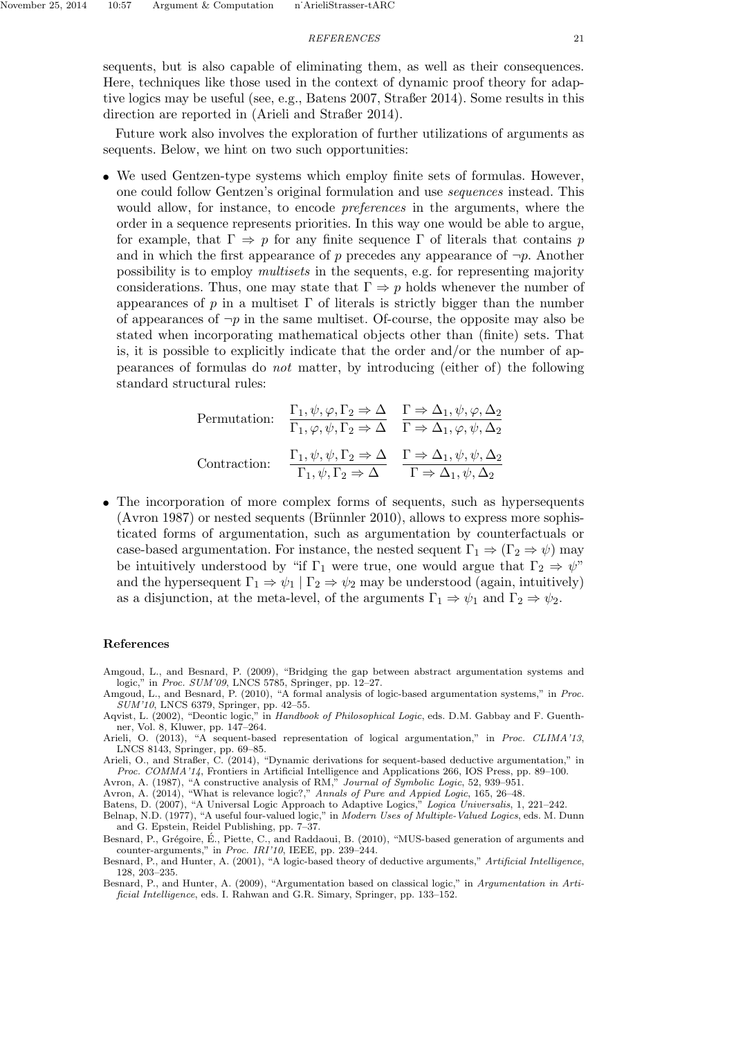sequents, but is also capable of eliminating them, as well as their consequences. Here, techniques like those used in the context of dynamic proof theory for adaptive logics may be useful (see, e.g., Batens 2007, Straßer 2014). Some results in this direction are reported in (Arieli and Straßer 2014).

Future work also involves the exploration of further utilizations of arguments as sequents. Below, we hint on two such opportunities:

• We used Gentzen-type systems which employ finite sets of formulas. However, one could follow Gentzen's original formulation and use sequences instead. This would allow, for instance, to encode preferences in the arguments, where the order in a sequence represents priorities. In this way one would be able to argue, for example, that  $\Gamma \Rightarrow p$  for any finite sequence  $\Gamma$  of literals that contains p and in which the first appearance of p precedes any appearance of  $\neg p$ . Another possibility is to employ multisets in the sequents, e.g. for representing majority considerations. Thus, one may state that  $\Gamma \Rightarrow p$  holds whenever the number of appearances of  $p$  in a multiset  $\Gamma$  of literals is strictly bigger than the number of appearances of  $\neg p$  in the same multiset. Of-course, the opposite may also be stated when incorporating mathematical objects other than (finite) sets. That is, it is possible to explicitly indicate that the order and/or the number of appearances of formulas do not matter, by introducing (either of) the following standard structural rules:

Permutation: 
$$
\frac{\Gamma_1, \psi, \varphi, \Gamma_2 \Rightarrow \Delta}{\Gamma_1, \varphi, \psi, \Gamma_2 \Rightarrow \Delta} \quad \frac{\Gamma \Rightarrow \Delta_1, \psi, \varphi, \Delta_2}{\Gamma \Rightarrow \Delta_1, \varphi, \psi, \Delta_2}
$$
  
Contraction: 
$$
\frac{\Gamma_1, \psi, \psi, \Gamma_2 \Rightarrow \Delta}{\Gamma_1, \psi, \Gamma_2 \Rightarrow \Delta} \quad \frac{\Gamma \Rightarrow \Delta_1, \psi, \psi, \Delta_2}{\Gamma \Rightarrow \Delta_1, \psi, \Delta_2}
$$

• The incorporation of more complex forms of sequents, such as hypersequents  $(Avron 1987)$  or nested sequents  $(Bruinnler 2010)$ , allows to express more sophisticated forms of argumentation, such as argumentation by counterfactuals or case-based argumentation. For instance, the nested sequent  $\Gamma_1 \Rightarrow (\Gamma_2 \Rightarrow \psi)$  may be intuitively understood by "if  $\Gamma_1$  were true, one would argue that  $\Gamma_2 \Rightarrow \psi$ " and the hypersequent  $\Gamma_1 \Rightarrow \psi_1 | \Gamma_2 \Rightarrow \psi_2$  may be understood (again, intuitively) as a disjunction, at the meta-level, of the arguments  $\Gamma_1 \Rightarrow \psi_1$  and  $\Gamma_2 \Rightarrow \psi_2$ .

#### References

- Amgoud, L., and Besnard, P. (2009), "Bridging the gap between abstract argumentation systems and logic," in Proc. SUM'09, LNCS 5785, Springer, pp. 12–27.
- Amgoud, L., and Besnard, P. (2010), "A formal analysis of logic-based argumentation systems," in Proc. SUM'10, LNCS 6379, Springer, pp. 42–55.
- Aqvist, L. (2002), "Deontic logic," in Handbook of Philosophical Logic, eds. D.M. Gabbay and F. Guenthner, Vol. 8, Kluwer, pp. 147–264.
- Arieli, O. (2013), "A sequent-based representation of logical argumentation," in Proc. CLIMA'13, LNCS 8143, Springer, pp. 69–85.
- Arieli, O., and Straßer, C. (2014), "Dynamic derivations for sequent-based deductive argumentation," in Proc. COMMA'14, Frontiers in Artificial Intelligence and Applications 266, IOS Press, pp. 89–100.

Avron, A. (1987), "A constructive analysis of RM," Journal of Symbolic Logic, 52, 939–951.

Avron, A. (2014), "What is relevance logic?," Annals of Pure and Appied Logic, 165, 26–48.

Batens, D. (2007), "A Universal Logic Approach to Adaptive Logics," Logica Universalis, 1, 221–242.

Belnap, N.D. (1977), "A useful four-valued logic," in Modern Uses of Multiple-Valued Logics, eds. M. Dunn and G. Epstein, Reidel Publishing, pp. 7–37.

Besnard, P., Grégoire, É., Piette, C., and Raddaoui, B. (2010), "MUS-based generation of arguments and counter-arguments," in Proc. IRI'10, IEEE, pp. 239–244.

Besnard, P., and Hunter, A. (2001), "A logic-based theory of deductive arguments," Artificial Intelligence, 128, 203–235.

Besnard, P., and Hunter, A. (2009), "Argumentation based on classical logic," in Argumentation in Artificial Intelligence, eds. I. Rahwan and G.R. Simary, Springer, pp. 133–152.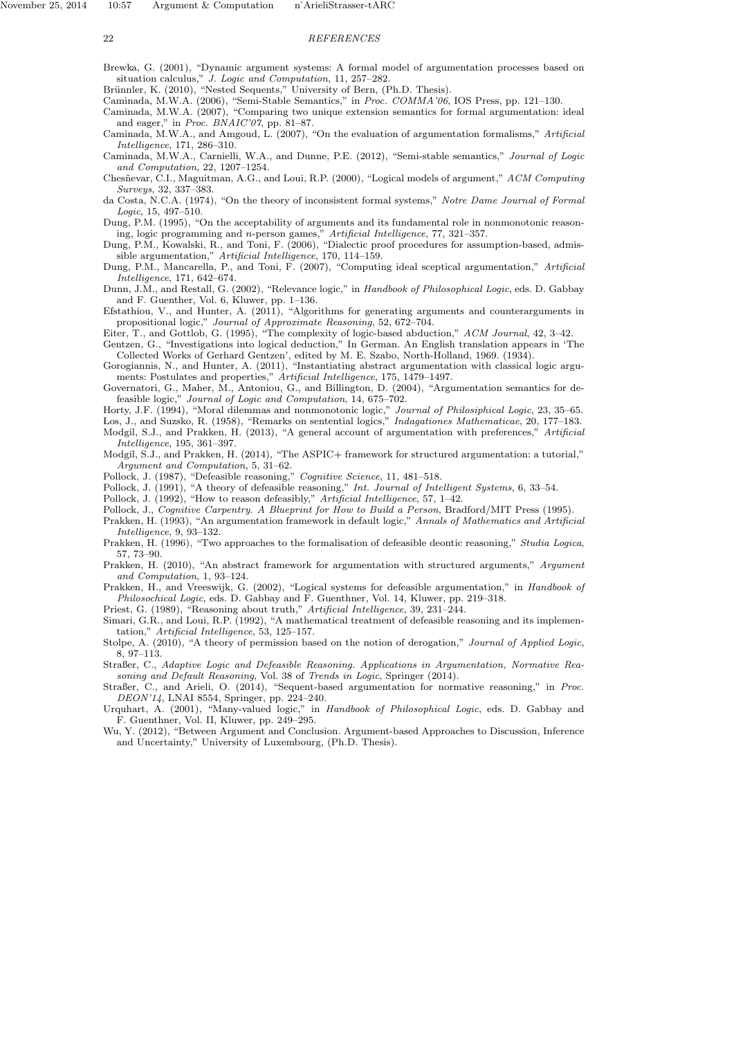Brewka, G. (2001), "Dynamic argument systems: A formal model of argumentation processes based on situation calculus," J. Logic and Computation, 11, 257–282.

Brünnler, K. (2010), "Nested Sequents," University of Bern, (Ph.D. Thesis).

Caminada, M.W.A. (2006), "Semi-Stable Semantics," in Proc. COMMA'06, IOS Press, pp. 121–130.

Caminada, M.W.A. (2007), "Comparing two unique extension semantics for formal argumentation: ideal and eager," in Proc. BNAIC'07, pp. 81–87.

Caminada, M.W.A., and Amgoud, L. (2007), "On the evaluation of argumentation formalisms," Artificial Intelligence, 171, 286–310.

Caminada, M.W.A., Carnielli, W.A., and Dunne, P.E. (2012), "Semi-stable semantics," Journal of Logic and Computation, 22, 1207–1254.

Chesñevar, C.I., Maguitman, A.G., and Loui, R.P. (2000), "Logical models of argument," ACM Computing Surveys, 32, 337–383.

da Costa, N.C.A. (1974), "On the theory of inconsistent formal systems," Notre Dame Journal of Formal Logic, 15, 497–510.

Dung, P.M. (1995), "On the acceptability of arguments and its fundamental role in nonmonotonic reasoning, logic programming and n-person games," Artificial Intelligence, 77, 321–357.

Dung, P.M., Kowalski, R., and Toni, F. (2006), "Dialectic proof procedures for assumption-based, admissible argumentation," Artificial Intelligence, 170, 114–159.

Dung, P.M., Mancarella, P., and Toni, F. (2007), "Computing ideal sceptical argumentation," Artificial Intelligence, 171, 642–674.

Dunn, J.M., and Restall, G. (2002), "Relevance logic," in Handbook of Philosophical Logic, eds. D. Gabbay and F. Guenther, Vol. 6, Kluwer, pp. 1–136.

Efstathiou, V., and Hunter, A. (2011), "Algorithms for generating arguments and counterarguments in propositional logic," Journal of Approximate Reasoning, 52, 672–704.

Eiter, T., and Gottlob, G. (1995), "The complexity of logic-based abduction," ACM Journal, 42, 3–42.

Gentzen, G., "Investigations into logical deduction," In German. An English translation appears in 'The Collected Works of Gerhard Gentzen', edited by M. E. Szabo, North-Holland, 1969. (1934).

Gorogiannis, N., and Hunter, A. (2011), "Instantiating abstract argumentation with classical logic arguments: Postulates and properties," Artificial Intelligence, 175, 1479–1497.

Governatori, G., Maher, M., Antoniou, G., and Billington, D. (2004), "Argumentation semantics for defeasible logic," Journal of Logic and Computation, 14, 675–702.

Horty, J.F. (1994), "Moral dilemmas and nonmonotonic logic," Journal of Philosiphical Logic, 23, 35–65. Los, J., and Suzsko, R. (1958), "Remarks on sentential logics," Indagationes Mathematicae, 20, 177–183.

Modgil, S.J., and Prakken, H. (2013), "A general account of argumentation with preferences," Artificial Intelligence, 195, 361–397.

Modgil, S.J., and Prakken, H. (2014), "The ASPIC+ framework for structured argumentation: a tutorial," Argument and Computation, 5, 31–62.

Pollock, J. (1987), "Defeasible reasoning," Cognitive Science, 11, 481-518.

Pollock, J. (1991), "A theory of defeasible reasoning," Int. Journal of Intelligent Systems, 6, 33-54.

Pollock, J. (1992), "How to reason defeasibly," Artificial Intelligence, 57, 1–42.

Pollock, J., Cognitive Carpentry. A Blueprint for How to Build a Person, Bradford/MIT Press (1995).

Prakken, H. (1993), "An argumentation framework in default logic," Annals of Mathematics and Artificial Intelligence, 9, 93–132.

Prakken, H. (1996), "Two approaches to the formalisation of defeasible deontic reasoning," Studia Logica, 57, 73–90.

Prakken, H. (2010), "An abstract framework for argumentation with structured arguments," Argument and Computation, 1, 93–124.

Prakken, H., and Vreeswijk, G. (2002), "Logical systems for defeasible argumentation," in Handbook of Philosochical Logic, eds. D. Gabbay and F. Guenthner, Vol. 14, Kluwer, pp. 219–318.

Priest, G. (1989), "Reasoning about truth," Artificial Intelligence, 39, 231-244.

Simari, G.R., and Loui, R.P. (1992), "A mathematical treatment of defeasible reasoning and its implementation," Artificial Intelligence, 53, 125–157.

Stolpe, A. (2010), "A theory of permission based on the notion of derogation," Journal of Applied Logic, 8, 97–113.

Straßer, C., Adaptive Logic and Defeasible Reasoning. Applications in Argumentation, Normative Reasoning and Default Reasoning, Vol. 38 of Trends in Logic, Springer (2014).

Straßer, C., and Arieli, O. (2014), "Sequent-based argumentation for normative reasoning," in Proc. DEON'14, LNAI 8554, Springer, pp. 224–240.

Urquhart, A. (2001), "Many-valued logic," in Handbook of Philosophical Logic, eds. D. Gabbay and F. Guenthner, Vol. II, Kluwer, pp. 249–295.

Wu, Y. (2012), "Between Argument and Conclusion. Argument-based Approaches to Discussion, Inference and Uncertainty," University of Luxembourg, (Ph.D. Thesis).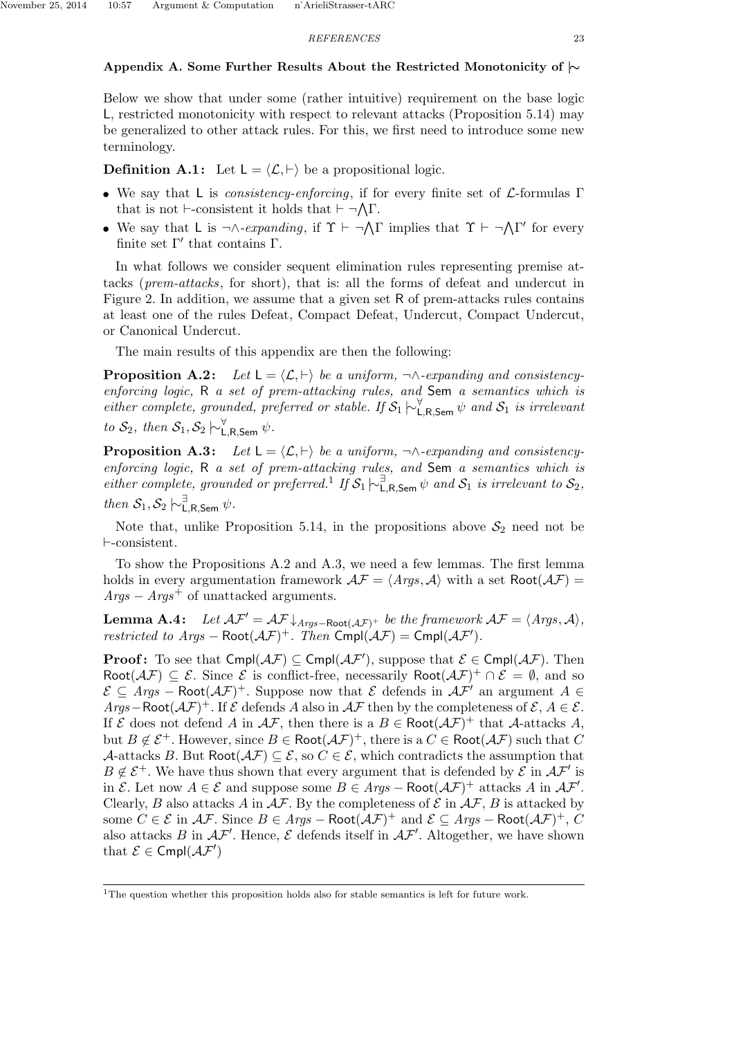## Appendix A. Some Further Results About the Restricted Monotonicity of  $\sim$

Below we show that under some (rather intuitive) requirement on the base logic L, restricted monotonicity with respect to relevant attacks (Proposition 5.14) may be generalized to other attack rules. For this, we first need to introduce some new terminology.

**Definition A.1:** Let  $L = \langle \mathcal{L}, \vdash \rangle$  be a propositional logic.

- We say that L is *consistency-enforcing*, if for every finite set of  $\mathcal{L}$ -formulas Γ that is not  $\vdash$ -consistent it holds that  $\vdash \neg \bigwedge \Gamma$ .
- We say that L is  $\neg \wedge \neg \text{expanding}$ , if  $\Upsilon \vdash \neg \bigwedge \Gamma$  implies that  $\Upsilon \vdash \neg \bigwedge \Gamma'$  for every finite set  $\Gamma'$  that contains  $\Gamma$ .

In what follows we consider sequent elimination rules representing premise attacks (prem-attacks, for short), that is: all the forms of defeat and undercut in Figure 2. In addition, we assume that a given set R of prem-attacks rules contains at least one of the rules Defeat, Compact Defeat, Undercut, Compact Undercut, or Canonical Undercut.

The main results of this appendix are then the following:

**Proposition A.2:** Let  $L = \langle \mathcal{L}, \vdash \rangle$  be a uniform,  $\neg \land \neg \mathcal{L}$ -expanding and consistencyenforcing logic, R a set of prem-attacking rules, and Sem a semantics which is either complete, grounded, preferred or stable. If  $S_1 \nvdash^{\forall}_{\mathsf{L},\mathsf{R},\mathsf{Sem}} \psi$  and  $S_1$  is irrelevant to  $\mathcal{S}_2$ , then  $\mathcal{S}_1, \mathcal{S}_2 \hspace{0.2em}\sim\hspace{-0.9em}\mid\hspace{0.58em} \mathsf{L}_{\mathsf{L},\mathsf{R},\mathsf{Sem}} \hspace{0.2em} \psi$ .

**Proposition A.3:** Let  $L = \langle \mathcal{L}, \vdash \rangle$  be a uniform,  $\neg \land \neg \text{expanding and consistency-}$ enforcing logic, R a set of prem-attacking rules, and Sem a semantics which is either complete, grounded or preferred.<sup>1</sup> If  $S_1 \vdash_{\mathsf{L},\mathsf{R},\mathsf{Sem}}^{\exists} \psi$  and  $S_1$  is irrelevant to  $S_2$ , then  $S_1, S_2 \n\sim^{\exists}_{\mathsf{L},\mathsf{R},\mathsf{Sem}} \psi$ .

Note that, unlike Proposition 5.14, in the propositions above  $S_2$  need not be  $\vdash$ -consistent.

To show the Propositions A.2 and A.3, we need a few lemmas. The first lemma holds in every argumentation framework  $\mathcal{AF} = \langle \mathit{Args}, \mathcal{A} \rangle$  with a set Root $(\mathcal{AF}) =$  $A\eta$ gs –  $A\eta$ gs<sup>+</sup> of unattacked arguments.

**Lemma A.4:** Let  $AF' = AF \downarrow_{Args-Root(AF)^+}$  be the framework  $AF = \langle \text{A} \text{rgs}, \mathcal{A} \rangle$ , restricted to  $Args - \text{Root}(\mathcal{AF})^+$ . Then  $\text{Cmpl}(\mathcal{AF}) = \text{Cmpl}(\mathcal{AF}')$ .

**Proof:** To see that  $\textsf{Cmpl}(\mathcal{AF}) \subseteq \textsf{Cmpl}(\mathcal{AF})$ , suppose that  $\mathcal{E} \in \textsf{Cmpl}(\mathcal{AF})$ . Then Root $(\mathcal{AF}) \subseteq \mathcal{E}$ . Since  $\mathcal{E}$  is conflict-free, necessarily Root $(\mathcal{AF})^+ \cap \mathcal{E} = \emptyset$ , and so  $\mathcal{E} \subseteq \text{Args} - \text{Root}(\mathcal{AF})^+$ . Suppose now that  $\mathcal E$  defends in  $\mathcal{AF}'$  an argument  $A \in$ Args–Root $(\mathcal{AF})^+$ . If  $\mathcal E$  defends A also in  $\mathcal AF$  then by the completeness of  $\mathcal E, A \in \mathcal E$ . If  $\mathcal E$  does not defend A in  $\mathcal{AF}$ , then there is a  $B \in \text{Root}(\mathcal{AF})^+$  that A-attacks A, but  $B \notin \mathcal{E}^+$ . However, since  $B \in \text{Root}(\mathcal{AF})^+$ , there is a  $C \in \text{Root}(\mathcal{AF})$  such that C A-attacks B. But Root $(\mathcal{AF}) \subseteq \mathcal{E}$ , so  $C \in \mathcal{E}$ , which contradicts the assumption that  $B \notin \mathcal{E}^+$ . We have thus shown that every argument that is defended by  $\mathcal{E}$  in  $\mathcal{AF}'$  is in  $\mathcal{E}$ . Let now  $A \in \mathcal{E}$  and suppose some  $B \in Args - \text{Root}(\mathcal{AF})^+$  attacks A in  $\mathcal{AF}'$ . Clearly, B also attacks A in  $\mathcal{AF}$ . By the completeness of  $\mathcal E$  in  $\mathcal{AF}$ , B is attacked by some  $C \in \mathcal{E}$  in  $\mathcal{AF}$ . Since  $B \in \text{Args} - \text{Root}(\mathcal{AF})^+$  and  $\mathcal{E} \subseteq \text{Args} - \text{Root}(\mathcal{AF})^+, C$ also attacks B in  $AF'$ . Hence, E defends itself in  $AF'$ . Altogether, we have shown that  $\mathcal{E} \in \text{Cmpl}(\mathcal{AF}')$ 

<sup>&</sup>lt;sup>1</sup>The question whether this proposition holds also for stable semantics is left for future work.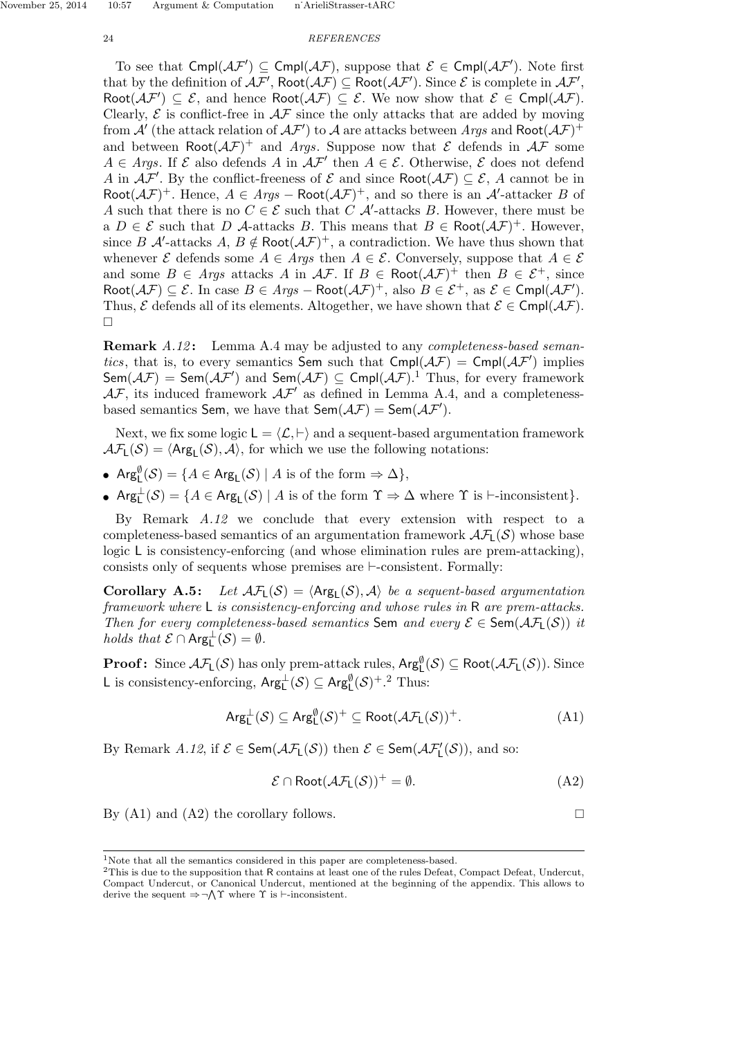To see that  $Cmpl(\mathcal{AF}') \subseteq Cmpl(\mathcal{AF})$ , suppose that  $\mathcal{E} \in Cmpl(\mathcal{AF}')$ . Note first that by the definition of  $A\mathcal{F}'$ ,  $Root(A\mathcal{F}) \subseteq Root(A\mathcal{F}')$ . Since  $\mathcal E$  is complete in  $A\mathcal{F}'$ , Root $(\mathcal{AF}') \subseteq \mathcal{E}$ , and hence Root $(\mathcal{AF}) \subseteq \mathcal{E}$ . We now show that  $\mathcal{E} \in \mathsf{Cmpl}(\mathcal{AF})$ . Clearly,  $\mathcal E$  is conflict-free in  $\mathcal{AF}$  since the only attacks that are added by moving from  $\mathcal{A}'$  (the attack relation of  $\mathcal{AF}'$ ) to  $\mathcal A$  are attacks between Args and Root $(\mathcal{AF})^+$ and between  $Root(\mathcal{AF})^+$  and Args. Suppose now that  $\mathcal E$  defends in  $\mathcal AF$  some  $A \in \text{A}$ rgs. If  $\mathcal E$  also defends A in  $\mathcal{AF}'$  then  $A \in \mathcal E$ . Otherwise,  $\mathcal E$  does not defend A in  $A\mathcal{F}'$ . By the conflict-freeness of  $\mathcal E$  and since  $\text{Root}(A\mathcal{F}) \subseteq \mathcal E$ , A cannot be in Root $(\mathcal{AF})^+$ . Hence,  $A \in \text{Args} - \text{Root}(\mathcal{AF})^+$ , and so there is an  $\mathcal{A}'$ -attacker B of A such that there is no  $C \in \mathcal{E}$  such that C  $\mathcal{A}'$ -attacks B. However, there must be a  $D \in \mathcal{E}$  such that D A-attacks B. This means that  $B \in \text{Root}(\mathcal{AF})^+$ . However, since B A'-attacks A,  $B \notin \text{Root}(\mathcal{AF})^+$ , a contradiction. We have thus shown that whenever  $\mathcal E$  defends some  $A \in \mathcal{A}$  rgs then  $A \in \mathcal E$ . Conversely, suppose that  $A \in \mathcal E$ and some  $B \in \text{A}$ rgs attacks A in  $\mathcal{AF}$ . If  $B \in \text{Root}(\mathcal{AF})^+$  then  $B \in \mathcal{E}^+$ , since Root $(\mathcal{AF}) \subseteq \mathcal{E}$ . In case  $B \in Args$  – Root $(\mathcal{AF})^+$ , also  $B \in \mathcal{E}^+$ , as  $\mathcal{E} \in \mathsf{Cmpl}(\mathcal{AF}')$ . Thus,  $\mathcal E$  defends all of its elements. Altogether, we have shown that  $\mathcal E \in \mathsf{Cmpl}(\mathcal{AF})$ .  $\Box$ 

**Remark** A.12: Lemma A.4 may be adjusted to any *completeness-based seman*tics, that is, to every semantics Sem such that  $Cmpl(\mathcal{AF}) = Cmpl(\mathcal{AF}')$  implies  ${\sf Sem}(\mathcal{AF}) = {\sf Sem}(\mathcal{AF}')$  and  ${\sf Sem}(\mathcal{AF}) \subseteq {\sf Cmpl}(\mathcal{AF})$ .<sup>1</sup> Thus, for every framework  $\mathcal{AF}$ , its induced framework  $\mathcal{AF}'$  as defined in Lemma A.4, and a completenessbased semantics Sem, we have that  $\mathsf{Sem}(\mathcal{AF}) = \mathsf{Sem}(\mathcal{AF}')$ .

Next, we fix some logic  $L = \langle L, \vdash \rangle$  and a sequent-based argumentation framework  $\mathcal{AF}_L(\mathcal{S}) = \langle \mathsf{Arg}_L(\mathcal{S}), \mathcal{A} \rangle$ , for which we use the following notations:

- $\text{Arg}^{\emptyset}_{\mathsf{L}}(\mathcal{S}) = \{ A \in \text{Arg}_{\mathsf{L}}(\mathcal{S}) \mid A \text{ is of the form } \Rightarrow \Delta \},$
- $\text{Arg}_{\mathsf{L}}^{\perp}(\mathcal{S}) = \{A \in \text{Arg}_{\mathsf{L}}(\mathcal{S}) \mid A \text{ is of the form } \Upsilon \Rightarrow \Delta \text{ where } \Upsilon \text{ is } \vdash \text{-inconsistent}\}.$

By Remark A.12 we conclude that every extension with respect to a completeness-based semantics of an argumentation framework  $\mathcal{A}\mathcal{F}_1(\mathcal{S})$  whose base logic L is consistency-enforcing (and whose elimination rules are prem-attacking), consists only of sequents whose premises are  $\vdash$ -consistent. Formally:

**Corollary A.5:** Let  $\mathcal{AF}_L(\mathcal{S}) = \langle \mathsf{Arg}_L(\mathcal{S}), \mathcal{A} \rangle$  be a sequent-based argumentation framework where L is consistency-enforcing and whose rules in R are prem-attacks. Then for every completeness-based semantics Sem and every  $\mathcal{E} \in \text{Sem}(\mathcal{AF}_L(\mathcal{S}))$  it holds that  $\mathcal{E} \cap \text{Arg}_{L}^{\perp}(\mathcal{S}) = \emptyset$ .

**Proof:** Since  $\mathcal{AF}_L(\mathcal{S})$  has only prem-attack rules,  $\mathsf{Arg}^{\emptyset}_L(\mathcal{S}) \subseteq \mathsf{Root}(\mathcal{AF}_L(\mathcal{S}))$ . Since L is consistency-enforcing,  $Arg_L^{\perp}(\mathcal{S}) \subseteq Arg_{L}^{\emptyset}(\mathcal{S})^+$ .<sup>2</sup> Thus:

$$
Arg_{L}^{\perp}(\mathcal{S}) \subseteq Arg_{L}^{\emptyset}(\mathcal{S})^{+} \subseteq Root(\mathcal{AF}_{L}(\mathcal{S}))^{+}.
$$
 (A1)

By Remark A.12, if  $\mathcal{E} \in \mathsf{Sem}(\mathcal{AF}_L(\mathcal{S}))$  then  $\mathcal{E} \in \mathsf{Sem}(\mathcal{AF}'_L(\mathcal{S}))$ , and so:

$$
\mathcal{E} \cap \text{Root}(\mathcal{AF}_L(\mathcal{S}))^+ = \emptyset. \tag{A2}
$$

By (A1) and (A2) the corollary follows.  $\square$ 

<sup>1</sup>Note that all the semantics considered in this paper are completeness-based.

<sup>&</sup>lt;sup>2</sup>This is due to the supposition that R contains at least one of the rules Defeat, Compact Defeat, Undercut, Compact Undercut, or Canonical Undercut, mentioned at the beginning of the appendix. This allows to derive the sequent  $\Rightarrow \neg \wedge \Upsilon$  where  $\Upsilon$  is  $\vdash$ -inconsistent.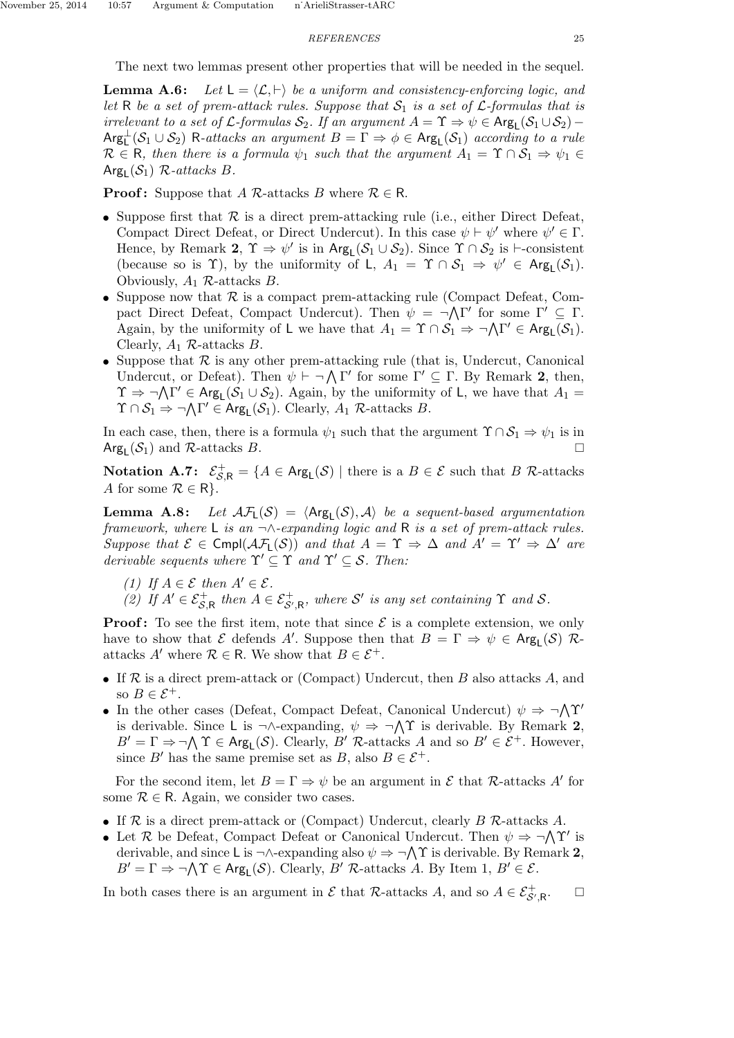The next two lemmas present other properties that will be needed in the sequel.

**Lemma A.6:** Let  $L = \langle \mathcal{L}, \vdash \rangle$  be a uniform and consistency-enforcing logic, and let R be a set of prem-attack rules. Suppose that  $S_1$  is a set of L-formulas that is irrelevant to a set of  $\mathcal L$ -formulas  $\mathcal S_2$ . If an argument  $A = \Upsilon \Rightarrow \psi \in \text{Arg}_{\mathsf L}(\mathcal S_1 \cup \mathcal S_2)$  –  $Arg_{\mathsf{L}}^{\perp}(\mathcal{S}_1 \cup \mathcal{S}_2)$  R-attacks an argument  $B = \overline{\Gamma} \Rightarrow \phi \in Arg_{\mathsf{L}}(\mathcal{S}_1)$  according to a rule  $\mathcal{R} \in \mathsf{R}$ , then there is a formula  $\psi_1$  such that the argument  $A_1 = \Upsilon \cap \mathcal{S}_1 \Rightarrow \psi_1 \in$  $\textsf{Arg}_{\textsf{L}}(\mathcal{S}_1)$  R-attacks B.

**Proof:** Suppose that A R-attacks B where  $\mathcal{R} \in \mathbb{R}$ .

- Suppose first that  $\mathcal R$  is a direct prem-attacking rule (i.e., either Direct Defeat, Compact Direct Defeat, or Direct Undercut). In this case  $\psi \vdash \psi'$  where  $\psi' \in \Gamma$ . Hence, by Remark 2,  $\Upsilon \Rightarrow \psi'$  is in  $\text{Arg}_{\mathsf{L}}(\mathcal{S}_1 \cup \mathcal{S}_2)$ . Since  $\Upsilon \cap \mathcal{S}_2$  is  $\vdash$ -consistent (because so is  $\Upsilon$ ), by the uniformity of L,  $A_1 = \Upsilon \cap S_1 \Rightarrow \psi' \in \text{Arg}_{\mathsf{L}}(S_1)$ . Obviously,  $A_1$  R-attacks  $B$ .
- Suppose now that  $R$  is a compact prem-attacking rule (Compact Defeat, Compact Direct Defeat, Compact Undercut). Then  $\psi = \neg \Lambda \Gamma'$  for some  $\Gamma' \subseteq \Gamma$ . Again, by the uniformity of L we have that  $A_1 = \Upsilon \cap S_1 \Rightarrow \neg \bigwedge \Gamma' \in \text{Arg}_{\mathsf{L}}(S_1)$ . Clearly,  $A_1$  R-attacks B.
- Suppose that  $R$  is any other prem-attacking rule (that is, Undercut, Canonical Undercut, or Defeat). Then  $\psi \vdash \neg \bigwedge \Gamma'$  for some  $\Gamma' \subseteq \Gamma$ . By Remark 2, then,  $\Upsilon \Rightarrow \neg \bigwedge \Gamma' \in \text{Arg}_{\mathsf{L}}(\mathcal{S}_1 \cup \mathcal{S}_2)$ . Again, by the uniformity of L, we have that  $A_1 =$  $\Upsilon \cap \mathcal{S}_1 \Rightarrow \neg \bigwedge \Gamma' \in \text{Arg}_{\mathsf{L}}(\mathcal{S}_1)$ . Clearly,  $A_1$  R-attacks B.

In each case, then, there is a formula  $\psi_1$  such that the argument  $\Upsilon \cap \mathcal{S}_1 \Rightarrow \psi_1$  is in Arg<sub>L</sub>( $S_1$ ) and R-attacks B.

Notation A.7:  $\mathcal{E}_{\mathcal{S},\mathsf{R}}^+ = \{A \in \mathsf{Arg}_\mathsf{L}(\mathcal{S}) \mid \text{there is a } B \in \mathcal{E} \text{ such that } B \nvert R\text{-attacks} \}$ A for some  $\mathcal{R} \in \mathsf{R}$ .

**Lemma A.8:** Let  $\mathcal{AF}_L(\mathcal{S}) = \langle \mathsf{Arg}_L(\mathcal{S}), \mathcal{A} \rangle$  be a sequent-based argumentation framework, where L is an  $\neg \wedge$ -expanding logic and R is a set of prem-attack rules. Suppose that  $\mathcal{E} \in \text{Cmpl}(\mathcal{AF}_L(\mathcal{S}))$  and that  $A = \Upsilon \Rightarrow \Delta$  and  $A' = \Upsilon' \Rightarrow \Delta'$  are derivable sequents where  $\Upsilon' \subseteq \Upsilon$  and  $\Upsilon' \subseteq \mathcal{S}$ . Then:

- (1) If  $A \in \mathcal{E}$  then  $A' \in \mathcal{E}$ .
- (2) If  $A' \in \mathcal{E}_{\mathcal{S}, \mathsf{R}}^+$  then  $A \in \mathcal{E}_{\mathcal{S}', \mathsf{R}}^+$ , where  $\mathcal{S}'$  is any set containing  $\Upsilon$  and  $\mathcal{S}$ .

**Proof:** To see the first item, note that since  $\mathcal{E}$  is a complete extension, we only have to show that E defends A'. Suppose then that  $B = \Gamma \Rightarrow \psi \in \text{Arg}_{\mathsf{L}}(\mathcal{S})$  Rattacks A' where  $\mathcal{R} \in \mathsf{R}$ . We show that  $B \in \mathcal{E}^+$ .

- If  $R$  is a direct prem-attack or (Compact) Undercut, then  $B$  also attacks  $A$ , and so  $B \in \mathcal{E}^+$ .
- In the other cases (Defeat, Compact Defeat, Canonical Undercut)  $\psi \Rightarrow \neg \Lambda \Upsilon'$ is derivable. Since L is  $\neg \land$ -expanding,  $\psi \Rightarrow \neg \land \Upsilon$  is derivable. By Remark 2,  $B' = \Gamma \Rightarrow \neg \bigwedge \Upsilon \in \text{Arg}_{\mathsf{L}}(\mathcal{S})$ . Clearly,  $B'$  R-attacks A and so  $B' \in \mathcal{E}^+$ . However, since B' has the same premise set as B, also  $B \in \mathcal{E}^+$ .

For the second item, let  $B = \Gamma \Rightarrow \psi$  be an argument in  $\mathcal E$  that R-attacks A' for some  $\mathcal{R} \in \mathsf{R}$ . Again, we consider two cases.

- If  $R$  is a direct prem-attack or (Compact) Undercut, clearly  $B$   $R$ -attacks  $A$ .
- Let R be Defeat, Compact Defeat or Canonical Undercut. Then  $\psi \Rightarrow \neg \bigwedge \Upsilon'$  is derivable, and since L is  $\neg \land$ -expanding also  $\psi \Rightarrow \neg \land \Upsilon$  is derivable. By Remark 2,  $B' = \Gamma \Rightarrow \neg \bigwedge \Upsilon \in \text{Arg}_{\mathsf{L}}(\mathcal{S})$ . Clearly,  $B'$  R-attacks A. By Item 1,  $B' \in \mathcal{E}$ .

In both cases there is an argument in  $\mathcal E$  that R-attacks A, and so  $A \in \mathcal E_{\mathcal S',\mathsf R}^+$  $\Box$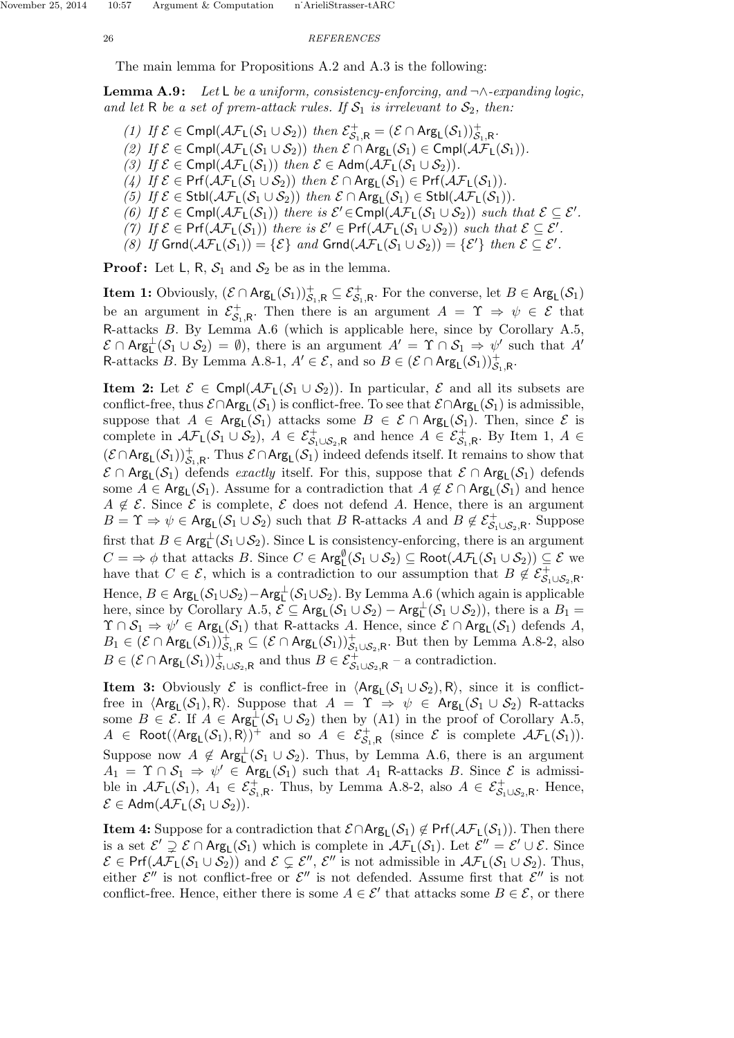The main lemma for Propositions A.2 and A.3 is the following:

**Lemma A.9:** Let L be a uniform, consistency-enforcing, and  $\neg \land$ -expanding logic, and let R be a set of prem-attack rules. If  $S_1$  is irrelevant to  $S_2$ , then:

- (1) If  $\mathcal{E} \in \text{Cmpl}(\mathcal{AF}_L(\mathcal{S}_1 \cup \mathcal{S}_2))$  then  $\mathcal{E}^+_{\mathcal{S}_1,R} = (\mathcal{E} \cap \text{Arg}_L(\mathcal{S}_1))_{\mathcal{S}_1,R}^+$ .
- (2) If  $\mathcal{E} \in \text{Cmpl}(\mathcal{AF}_L(\mathcal{S}_1 \cup \mathcal{S}_2))$  then  $\mathcal{E} \cap \text{Arg}_L(\mathcal{S}_1) \in \text{Cmpl}(\mathcal{AF}_L(\mathcal{S}_1)).$
- (3) If  $\mathcal{E} \in \text{Cmpl}(\mathcal{AF}_L(\mathcal{S}_1))$  then  $\mathcal{E} \in \text{Adm}(\mathcal{AF}_L(\mathcal{S}_1 \cup \mathcal{S}_2)).$
- (4) If  $\mathcal{E} \in Pr(f(\mathcal{AF}_L(\mathcal{S}_1 \cup \mathcal{S}_2))$  then  $\mathcal{E} \cap \text{Arg}_L(\mathcal{S}_1) \in Pr(f(\mathcal{AF}_L(\mathcal{S}_1))$ .
- (5) If  $\mathcal{E} \in \text{Stbl}(\mathcal{AF}_L(\mathcal{S}_1 \cup \mathcal{S}_2))$  then  $\mathcal{E} \cap \text{Arg}_L(\mathcal{S}_1) \in \text{Stbl}(\mathcal{AF}_L(\mathcal{S}_1)).$
- (6) If  $\mathcal{E} \in \text{Cmpl}(\mathcal{AF}_L(\mathcal{S}_1))$  there is  $\mathcal{E}' \in \text{Cmpl}(\mathcal{AF}_L(\mathcal{S}_1 \cup \mathcal{S}_2))$  such that  $\mathcal{E} \subseteq \mathcal{E}'$ .
- (7) If  $\mathcal{E} \in Pr(f(\mathcal{AF}_L(\mathcal{S}_1)))$  there is  $\mathcal{E}' \in Pr(f(\mathcal{AF}_L(\mathcal{S}_1 \cup \mathcal{S}_2)))$  such that  $\mathcal{E} \subseteq \mathcal{E}'$ .
- (8) If  $\textsf{Grnd}(\mathcal{AF}_L(\mathcal{S}_1)) = \{\mathcal{E}\}$  and  $\textsf{Grnd}(\mathcal{AF}_L(\mathcal{S}_1 \cup \mathcal{S}_2)) = \{\mathcal{E}'\}$  then  $\mathcal{E} \subseteq \mathcal{E}'$ .

**Proof:** Let L, R,  $S_1$  and  $S_2$  be as in the lemma.

**Item 1:** Obviously,  $(\mathcal{E} \cap \mathsf{Arg}_L(\mathcal{S}_1))_{\mathcal{S}_1,R}^+ \subseteq \mathcal{E}_{\mathcal{S}_1,R}^+$ . For the converse, let  $B \in \mathsf{Arg}_L(\mathcal{S}_1)$ be an argument in  $\mathcal{E}_s^+$  $S_{1,R}^+$ . Then there is an argument  $A = \Upsilon \Rightarrow \psi \in \mathcal{E}$  that R-attacks B. By Lemma A.6 (which is applicable here, since by Corollary A.5,  $\mathcal{E} \cap \mathsf{Arg}^{\perp}_L(\mathcal{S}_1 \cup \mathcal{S}_2) = \emptyset$ , there is an argument  $A' = \Upsilon \cap \mathcal{S}_1 \Rightarrow \psi'$  such that  $A'$ R-attacks B. By Lemma A.8-1,  $A' \in \mathcal{E}$ , and so  $B \in (\mathcal{E} \cap \text{Arg}_{\mathsf{L}}(\mathcal{S}_1))_{\mathcal{S}_1,\mathsf{R}}^+$ .

**Item 2:** Let  $\mathcal{E} \in \text{Cmp}(\mathcal{AF}_L(\mathcal{S}_1 \cup \mathcal{S}_2))$ . In particular,  $\mathcal{E}$  and all its subsets are conflict-free, thus  $\mathcal{E} \cap \text{Arg}_L(\mathcal{S}_1)$  is conflict-free. To see that  $\mathcal{E} \cap \text{Arg}_L(\mathcal{S}_1)$  is admissible, suppose that  $A \in \text{Arg}_{\mathsf{L}}(\mathcal{S}_1)$  attacks some  $B \in \mathcal{E} \cap \text{Arg}_{\mathsf{L}}(\mathcal{S}_1)$ . Then, since  $\mathcal{E}$  is complete in  $\mathcal{AF}_L(\mathcal{S}_1 \cup \mathcal{S}_2)$ ,  $A \in \mathcal{E}^+_{\mathcal{S}_1 \cup \mathcal{S}_2, \mathsf{R}}$  and hence  $A \in \mathcal{E}^+_{\mathcal{S}_1, \mathsf{R}}$ . By Item 1,  $A \in$  $(\mathcal{E} \cap \mathsf{Arg}_L(\mathcal{S}_1))_{\mathcal{S}_1,R}^+$ . Thus  $\mathcal{E} \cap \mathsf{Arg}_L(\mathcal{S}_1)$  indeed defends itself. It remains to show that  $\mathcal{E} \cap \text{Arg}_{\mathsf{L}}(\mathcal{S}_1)$  defends *exactly* itself. For this, suppose that  $\mathcal{E} \cap \text{Arg}_{\mathsf{L}}(\mathcal{S}_1)$  defends some  $A \in \text{Arg}_{\mathsf{L}}(\mathcal{S}_1)$ . Assume for a contradiction that  $A \notin \mathcal{E} \cap \text{Arg}_{\mathsf{L}}(\mathcal{S}_1)$  and hence  $A \notin \mathcal{E}$ . Since  $\mathcal{E}$  is complete,  $\mathcal{E}$  does not defend A. Hence, there is an argument  $B = \Upsilon \Rightarrow \psi \in \text{Arg}_{\mathsf{L}}(\mathcal{S}_1 \cup \mathcal{S}_2)$  such that B R-attacks A and  $B \notin \mathcal{E}^+_{\mathcal{S}_1 \cup \mathcal{S}_2, \mathsf{R}}$ . Suppose first that  $B \in \text{Arg}^{\perp}_{\mathsf{L}}(\mathcal{S}_1 \cup \mathcal{S}_2)$ . Since L is consistency-enforcing, there is an argument  $C = \Rightarrow \phi$  that attacks B. Since  $C \in \mathsf{Arg}^{\emptyset}_{\mathsf{L}}(\mathcal{S}_1 \cup \mathcal{S}_2) \subseteq \mathsf{Root}(\mathcal{AF}_{\mathsf{L}}(\mathcal{S}_1 \cup \mathcal{S}_2)) \subseteq \mathcal{E}$  we have that  $C \in \mathcal{E}$ , which is a contradiction to our assumption that  $B \notin \mathcal{E}_{\mathcal{S}_1 \cup \mathcal{S}_2, \mathsf{R}}^+$ . Hence,  $B \in \text{Arg}_{\mathsf{L}}(\mathcal{S}_1 \cup \mathcal{S}_2) - \text{Arg}_{\mathsf{L}}^{\perp}(\mathcal{S}_1 \cup \mathcal{S}_2)$ . By Lemma A.6 (which again is applicable here, since by Corollary A.5,  $\mathcal{E} \subseteq \text{Arg}_{\mathsf{L}}(\mathcal{S}_1 \cup \mathcal{S}_2) - \text{Arg}_{\mathsf{L}}^{\perp}(\mathcal{S}_1 \cup \mathcal{S}_2)$ , there is a  $B_1 =$  $\Upsilon \cap \mathcal{S}_1 \Rightarrow \psi' \in \text{Arg}_{\mathsf{L}}(\mathcal{S}_1)$  that R-attacks A. Hence, since  $\mathcal{E} \cap \text{Arg}_{\mathsf{L}}(\mathcal{S}_1)$  defends A,  $B_1 \in (\mathcal{E} \cap \text{Arg}_{\mathsf{L}}(\mathcal{S}_1))_{\mathcal{S}_1,\mathsf{R}}^+ \subseteq (\mathcal{E} \cap \text{Arg}_{\mathsf{L}}(\mathcal{S}_1))_{\mathcal{S}_1\cup\mathcal{S}_2,\mathsf{R}}^+$ . But then by Lemma A.8-2, also  $B \in (\mathcal{E} \cap \text{Arg}_{\mathsf{L}}(\mathcal{S}_1))_{\mathcal{S}_1 \cup \mathcal{S}_2, \mathsf{R}}^+$  and thus  $B \in \mathcal{E}_{\mathcal{S}_1 \cup \mathcal{S}_2, \mathsf{R}}^+$  – a contradiction.

**Item 3:** Obviously  $\mathcal{E}$  is conflict-free in  $\langle \text{Arg}_{L}(\mathcal{S}_1 \cup \mathcal{S}_2), \text{R} \rangle$ , since it is conflictfree in  $\langle \text{Arg}_{L}(\mathcal{S}_1), \mathsf{R} \rangle$ . Suppose that  $A = \Upsilon \Rightarrow \psi \in \text{Arg}_{L}(\mathcal{S}_1 \cup \mathcal{S}_2)$  R-attacks some  $B \in \mathcal{E}$ . If  $A \in \text{Arg}_{L}^{-1}(\mathcal{S}_1 \cup \mathcal{S}_2)$  then by (A1) in the proof of Corollary A.5,  $A \in \text{Root}(\langle \text{Arg}_{L}(\mathcal{S}_{1}), \mathsf{R} \rangle)$ <sup>+</sup> and so  $A \in \mathcal{E}^+_{\mathcal{S}_1, \mathsf{R}}$  (since  $\mathcal{E}$  is complete  $\mathcal{AF}_{L}(\mathcal{S}_{1})$ ). Suppose now  $A \notin \text{Arg}_L^{\perp}(\mathcal{S}_1 \cup \mathcal{S}_2)$ . Thus, by Lemma A.6, there is an argument  $A_1 = \Upsilon \cap S_1 \Rightarrow \psi' \in \text{Arg}_L(S_1)$  such that  $A_1$  R-attacks B. Since  $\mathcal{E}$  is admissible in  $\mathcal{AF}_L(\mathcal{S}_1)$ ,  $A_1 \in \mathcal{E}^+_{\mathcal{S}_1,R}$ . Thus, by Lemma A.8-2, also  $A \in \mathcal{E}^+_{\mathcal{S}_1 \cup \mathcal{S}_2,R}$ . Hence,  $\mathcal{E} \in \mathsf{Adm}(\mathcal{AF}_1(\mathcal{S}_1 \cup \mathcal{S}_2)).$ 

**Item 4:** Suppose for a contradiction that  $\mathcal{E} \cap \text{Arg}_L(\mathcal{S}_1) \notin \text{Prf}(\mathcal{AF}_L(\mathcal{S}_1))$ . Then there is a set  $\mathcal{E}' \supsetneq \mathcal{E} \cap \text{Arg}_{L}(\mathcal{S}_1)$  which is complete in  $\mathcal{AF}_{L}(\mathcal{S}_1)$ . Let  $\mathcal{E}'' = \mathcal{E}' \cup \mathcal{E}$ . Since  $\mathcal{E} \in Prf(\mathcal{AF}_L(\mathcal{S}_1 \cup \mathcal{S}_2))$  and  $\mathcal{E} \subsetneq \mathcal{E}'$ ,  $\mathcal{E}''$  is not admissible in  $\mathcal{AF}_L(\mathcal{S}_1 \cup \mathcal{S}_2)$ . Thus, either  $\mathcal{E}''$  is not conflict-free or  $\mathcal{E}''$  is not defended. Assume first that  $\mathcal{E}''$  is not conflict-free. Hence, either there is some  $A \in \mathcal{E}'$  that attacks some  $B \in \mathcal{E}$ , or there